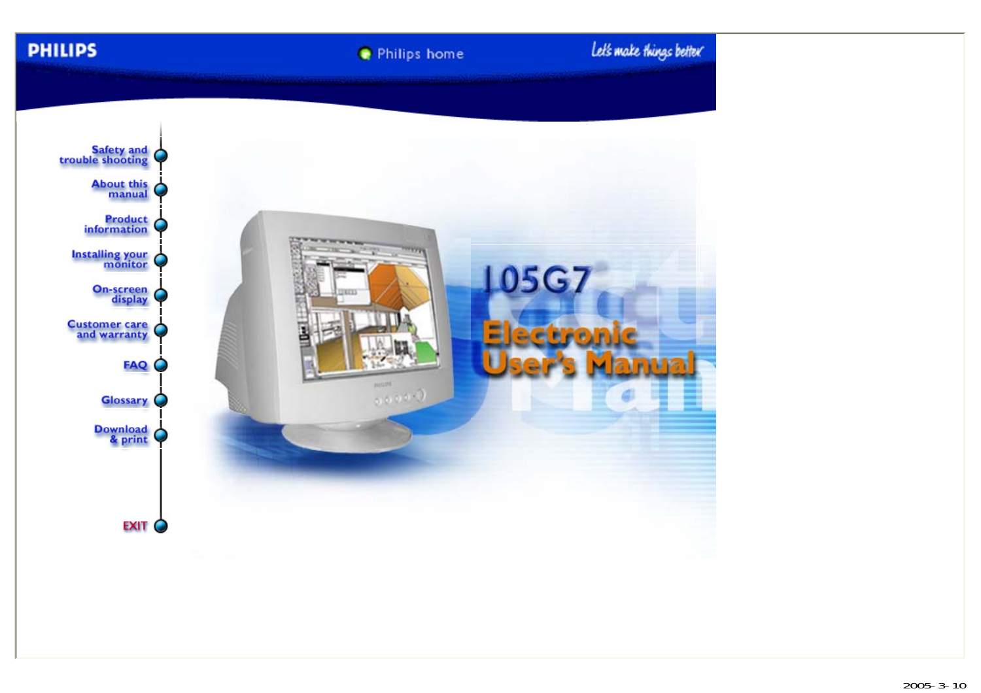**PHILIPS** 

Philips home

Let's make things better

<span id="page-0-0"></span>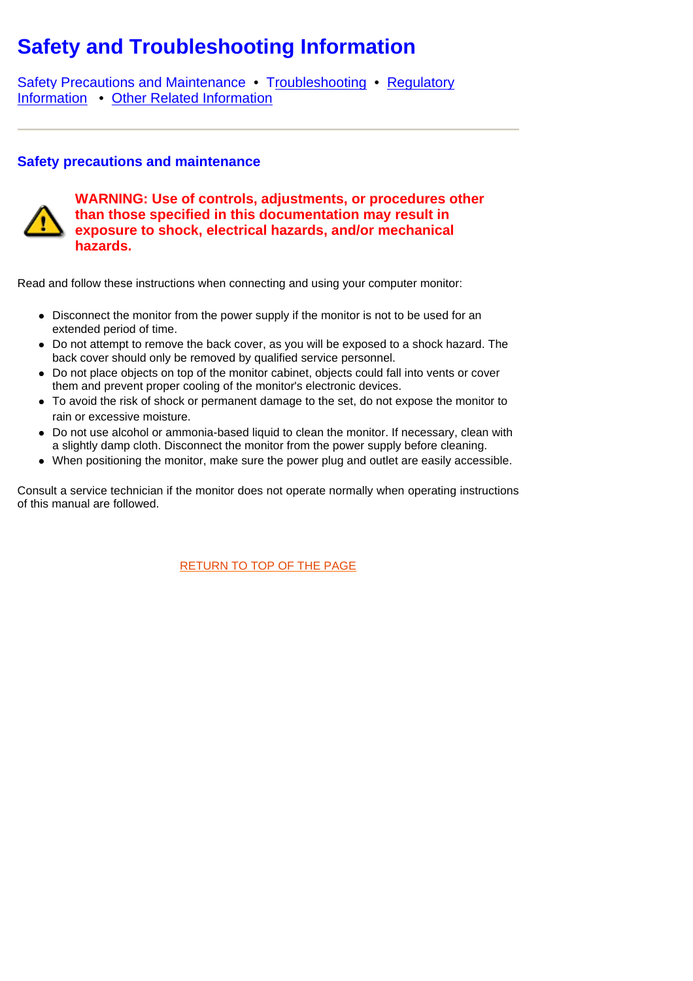# <span id="page-1-2"></span><span id="page-1-1"></span>**Safety and Troubleshooting Information**

[Safety Precautions and Maintenance](#page-1-0) • [Troubleshooting](#page-2-0) • Regulatory Information • [Other Related Information](#page-8-0)

# <span id="page-1-3"></span><span id="page-1-0"></span>**Safety precautions and maintenance**



**WARNING: Use of controls, adjustments, or procedures other than those specified in this documentation may result in exposure to shock, electrical hazards, and/or mechanical hazards.** 

Read and follow these instructions when connecting and using your computer monitor:

- Disconnect the monitor from the power supply if the monitor is not to be used for an extended period of time.
- Do not attempt to remove the back cover, as you will be exposed to a shock hazard. The back cover should only be removed by qualified service personnel.
- Do not place objects on top of the monitor cabinet, objects could fall into vents or cover them and prevent proper cooling of the monitor's electronic devices.
- To avoid the risk of shock or permanent damage to the set, do not expose the monitor to rain or excessive moisture.
- Do not use alcohol or ammonia-based liquid to clean the monitor. If necessary, clean with a slightly damp cloth. Disconnect the monitor from the power supply before cleaning.
- When positioning the monitor, make sure the power plug and outlet are easily accessible.

Consult a service technician if the monitor does not operate normally when operating instructions of this manual are followed.

[RETURN TO TOP OF THE PAGE](#page-1-1)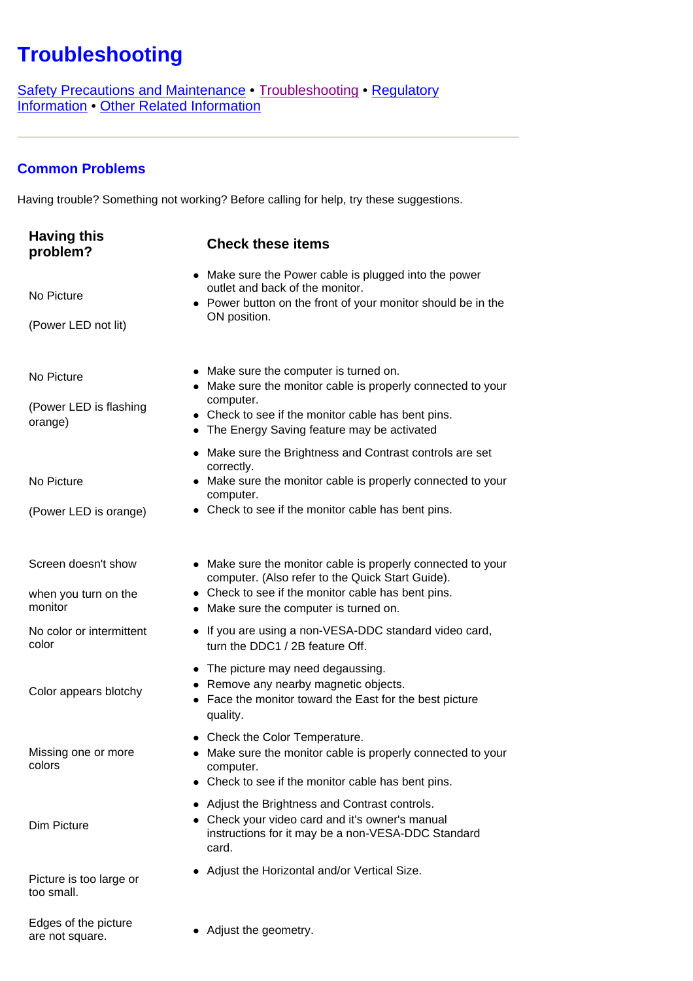# <span id="page-2-2"></span><span id="page-2-1"></span><span id="page-2-0"></span>**Troubleshooting**

[Safety Precautions and Maintenance](#page-1-1) • [Troubleshooting](#page-2-1) • [Regulatory](#page-4-0)  [Information](#page-4-0) • [Other Related Information](#page-8-0)

# **Common Problems**

Having trouble? Something not working? Before calling for help, try these suggestions.

| <b>Having this</b><br>problem?                                                         | <b>Check these items</b>                                                                                                                                                                                                                                                                                                                                                                                                             |
|----------------------------------------------------------------------------------------|--------------------------------------------------------------------------------------------------------------------------------------------------------------------------------------------------------------------------------------------------------------------------------------------------------------------------------------------------------------------------------------------------------------------------------------|
| No Picture<br>(Power LED not lit)                                                      | • Make sure the Power cable is plugged into the power<br>outlet and back of the monitor.<br>• Power button on the front of your monitor should be in the<br>ON position.                                                                                                                                                                                                                                                             |
| No Picture<br>(Power LED is flashing<br>orange)<br>No Picture<br>(Power LED is orange) | • Make sure the computer is turned on.<br>• Make sure the monitor cable is properly connected to your<br>computer.<br>• Check to see if the monitor cable has bent pins.<br>• The Energy Saving feature may be activated<br>• Make sure the Brightness and Contrast controls are set<br>correctly.<br>• Make sure the monitor cable is properly connected to your<br>computer.<br>• Check to see if the monitor cable has bent pins. |
| Screen doesn't show<br>when you turn on the<br>monitor<br>No color or intermittent     | • Make sure the monitor cable is properly connected to your<br>computer. (Also refer to the Quick Start Guide).<br>• Check to see if the monitor cable has bent pins.<br>• Make sure the computer is turned on.<br>• If you are using a non-VESA-DDC standard video card,                                                                                                                                                            |
| color<br>Color appears blotchy                                                         | turn the DDC1 / 2B feature Off.<br>• The picture may need degaussing.<br>• Remove any nearby magnetic objects.<br>Face the monitor toward the East for the best picture<br>quality.                                                                                                                                                                                                                                                  |
| Missing one or more<br>colors                                                          | • Check the Color Temperature.<br>• Make sure the monitor cable is properly connected to your<br>computer.<br>• Check to see if the monitor cable has bent pins.                                                                                                                                                                                                                                                                     |
| Dim Picture                                                                            | • Adjust the Brightness and Contrast controls.<br>• Check your video card and it's owner's manual<br>instructions for it may be a non-VESA-DDC Standard<br>card.                                                                                                                                                                                                                                                                     |
| Picture is too large or<br>too small.                                                  | Adjust the Horizontal and/or Vertical Size.                                                                                                                                                                                                                                                                                                                                                                                          |
| Edges of the picture<br>are not square.                                                | Adjust the geometry.                                                                                                                                                                                                                                                                                                                                                                                                                 |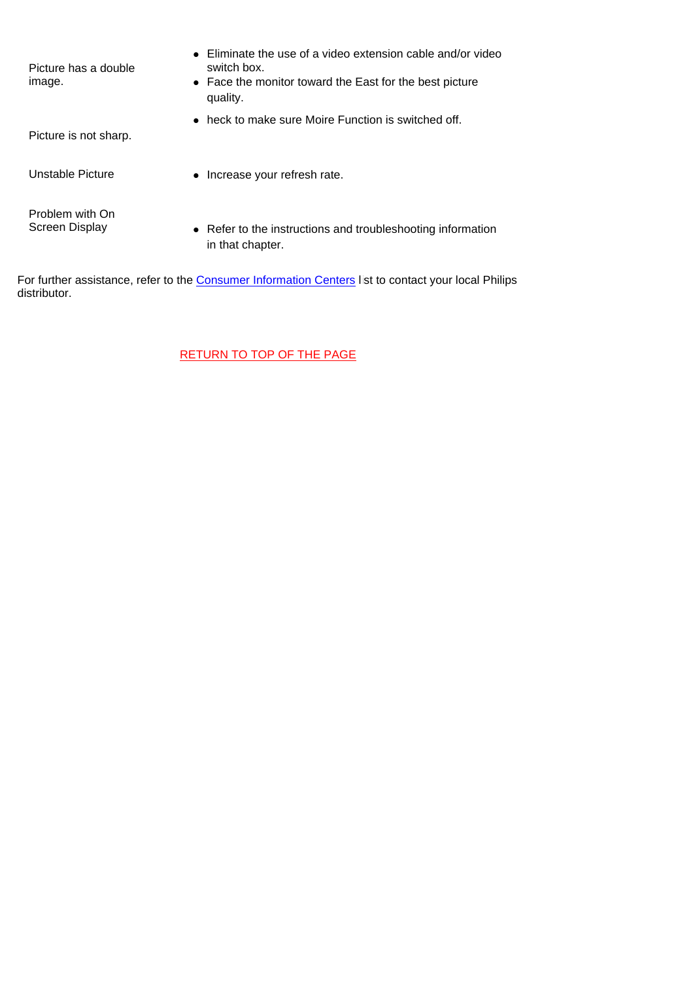| Picture has a double<br>image.    | Eliminate the use of a video extension cable and/or video<br>switch box.<br>• Face the monitor toward the East for the best picture<br>quality. |
|-----------------------------------|-------------------------------------------------------------------------------------------------------------------------------------------------|
| Picture is not sharp.             | heck to make sure Moire Function is switched off.                                                                                               |
| Unstable Picture                  | • Increase your refresh rate.                                                                                                                   |
| Problem with On<br>Screen Display | • Refer to the instructions and troubleshooting information<br>in that chapter.                                                                 |

For further assistance, refer to the [Consumer Information Centers](#page-25-0) list to contact your local Philips distributor.

[RETURN TO TOP OF THE PAGE](#page-2-1)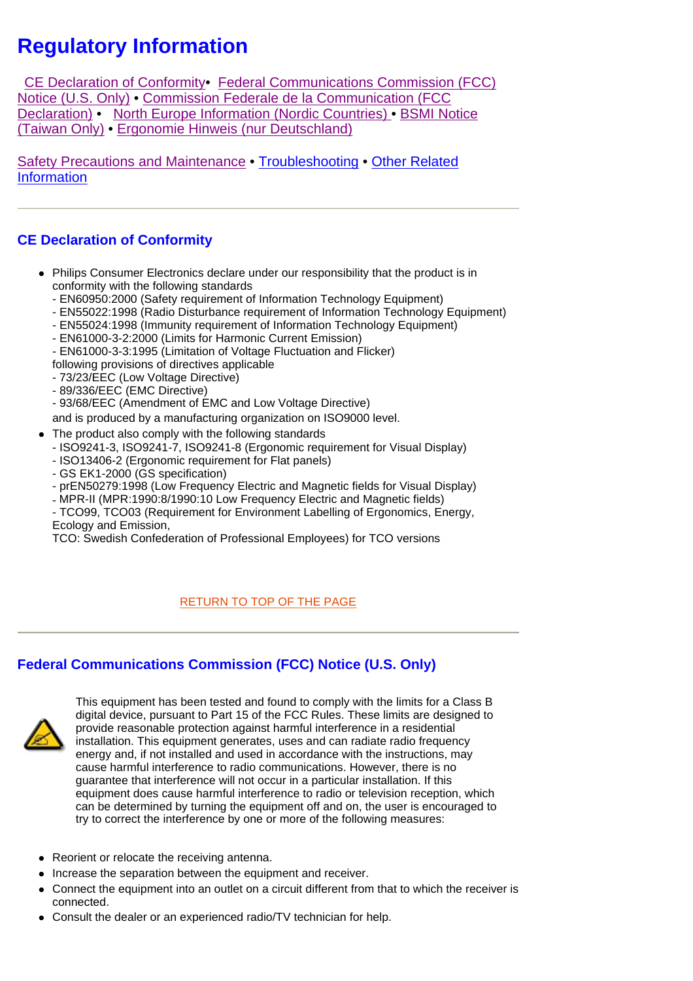# <span id="page-4-0"></span>**Regulatory Information**

 CE Declaration of Conformity• Federal Communications Commission (FCC) Notice (U.S. Only) • Commission Federale de la Communication (FCC [Declaration\)](#page-5-0) • [North Europe Information \(Nordic Countries\)](#page-5-0) • [BSMI Notice](#page-6-0)  [\(Taiwan Only\)](#page-6-0) • [Ergonomie Hinweis \(nur Deutschland\)](#page-6-0) 

[Safety Precautions and Maintenance •](#page-1-2) [Troubleshooting](#page-2-2) • [Other Related](#page-8-1)  [Information](#page-8-1)

# **CE Declaration of Conformity**

- Philips Consumer Electronics declare under our responsibility that the product is in conformity with the following standards
	- EN60950:2000 (Safety requirement of Information Technology Equipment)
	- EN55022:1998 (Radio Disturbance requirement of Information Technology Equipment)
	- EN55024:1998 (Immunity requirement of Information Technology Equipment)
	- EN61000-3-2:2000 (Limits for Harmonic Current Emission)
	- EN61000-3-3:1995 (Limitation of Voltage Fluctuation and Flicker)
	- following provisions of directives applicable
	- 73/23/EEC (Low Voltage Directive)
	- 89/336/EEC (EMC Directive)
	- 93/68/EEC (Amendment of EMC and Low Voltage Directive)

and is produced by a manufacturing organization on ISO9000 level.

- The product also comply with the following standards
	- ISO9241-3, ISO9241-7, ISO9241-8 (Ergonomic requirement for Visual Display)
	- ISO13406-2 (Ergonomic requirement for Flat panels)
	- GS EK1-2000 (GS specification)
	- prEN50279:1998 (Low Frequency Electric and Magnetic fields for Visual Display)
	- MPR-II (MPR:1990:8/1990:10 Low Frequency Electric and Magnetic fields)
	- TCO99, TCO03 (Requirement for Environment Labelling of Ergonomics, Energy, Ecology and Emission,

TCO: Swedish Confederation of Professional Employees) for TCO versions

### RETURN TO TOP OF THE PAGE

# **Federal Communications Commission (FCC) Notice (U.S. Only)**



This equipment has been tested and found to comply with the limits for a Class B digital device, pursuant to Part 15 of the FCC Rules. These limits are designed to provide reasonable protection against harmful interference in a residential installation. This equipment generates, uses and can radiate radio frequency energy and, if not installed and used in accordance with the instructions, may cause harmful interference to radio communications. However, there is no guarantee that interference will not occur in a particular installation. If this equipment does cause harmful interference to radio or television reception, which can be determined by turning the equipment off and on, the user is encouraged to try to correct the interference by one or more of the following measures:

- Reorient or relocate the receiving antenna.
- Increase the separation between the equipment and receiver.
- Connect the equipment into an outlet on a circuit different from that to which the receiver is connected.
- Consult the dealer or an experienced radio/TV technician for help.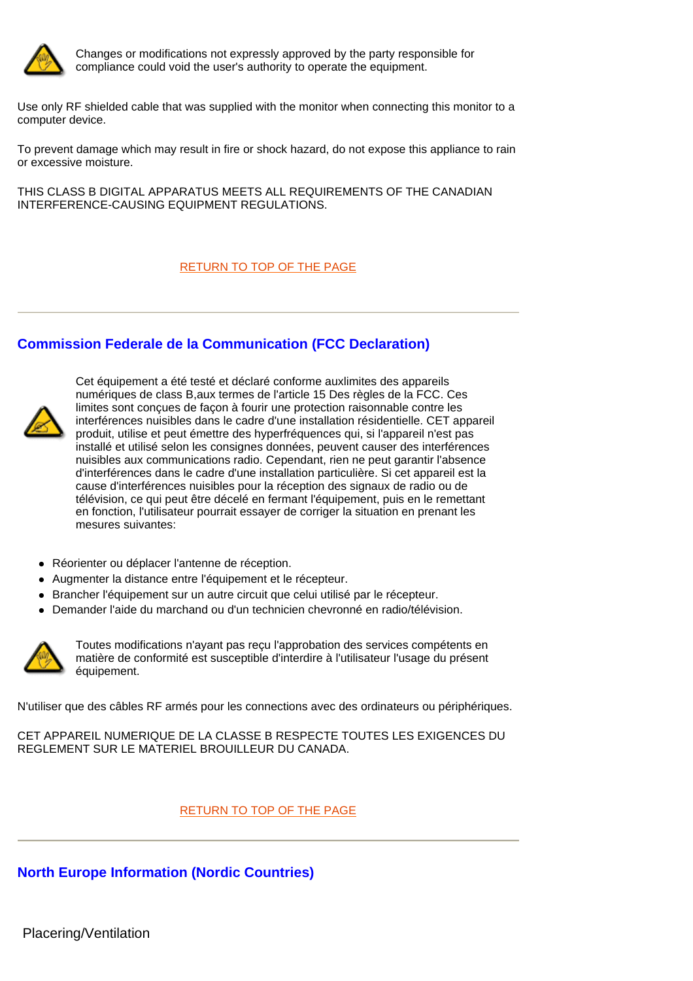<span id="page-5-0"></span>

Changes or modifications not expressly approved by the party responsible for compliance could void the user's authority to operate the equipment.

Use only RF shielded cable that was supplied with the monitor when connecting this monitor to a computer device.

To prevent damage which may result in fire or shock hazard, do not expose this appliance to rain or excessive moisture.

THIS CLASS B DIGITAL APPARATUS MEETS ALL REQUIREMENTS OF THE CANADIAN INTERFERENCE-CAUSING EQUIPMENT REGULATIONS.

[RETURN TO TOP OF THE PAGE](#page-4-0)

# **Commission Federale de la Communication (FCC Declaration)**



Cet équipement a été testé et déclaré conforme auxlimites des appareils numériques de class B,aux termes de l'article 15 Des règles de la FCC. Ces limites sont conçues de façon à fourir une protection raisonnable contre les interférences nuisibles dans le cadre d'une installation résidentielle. CET appareil produit, utilise et peut émettre des hyperfréquences qui, si l'appareil n'est pas installé et utilisé selon les consignes données, peuvent causer des interférences nuisibles aux communications radio. Cependant, rien ne peut garantir l'absence d'interférences dans le cadre d'une installation particulière. Si cet appareil est la cause d'interférences nuisibles pour la réception des signaux de radio ou de télévision, ce qui peut être décelé en fermant l'équipement, puis en le remettant en fonction, l'utilisateur pourrait essayer de corriger la situation en prenant les mesures suivantes:

- Réorienter ou déplacer l'antenne de réception.
- Augmenter la distance entre l'équipement et le récepteur.
- Brancher l'équipement sur un autre circuit que celui utilisé par le récepteur.
- Demander l'aide du marchand ou d'un technicien chevronné en radio/télévision.



Toutes modifications n'ayant pas reçu l'approbation des services compétents en matière de conformité est susceptible d'interdire à l'utilisateur l'usage du présent équipement.

N'utiliser que des câbles RF armés pour les connections avec des ordinateurs ou périphériques.

CET APPAREIL NUMERIQUE DE LA CLASSE B RESPECTE TOUTES LES EXIGENCES DU REGLEMENT SUR LE MATERIEL BROUILLEUR DU CANADA.

#### [RETURN TO TOP OF THE PAGE](#page-4-0)

**North Europe Information (Nordic Countries)**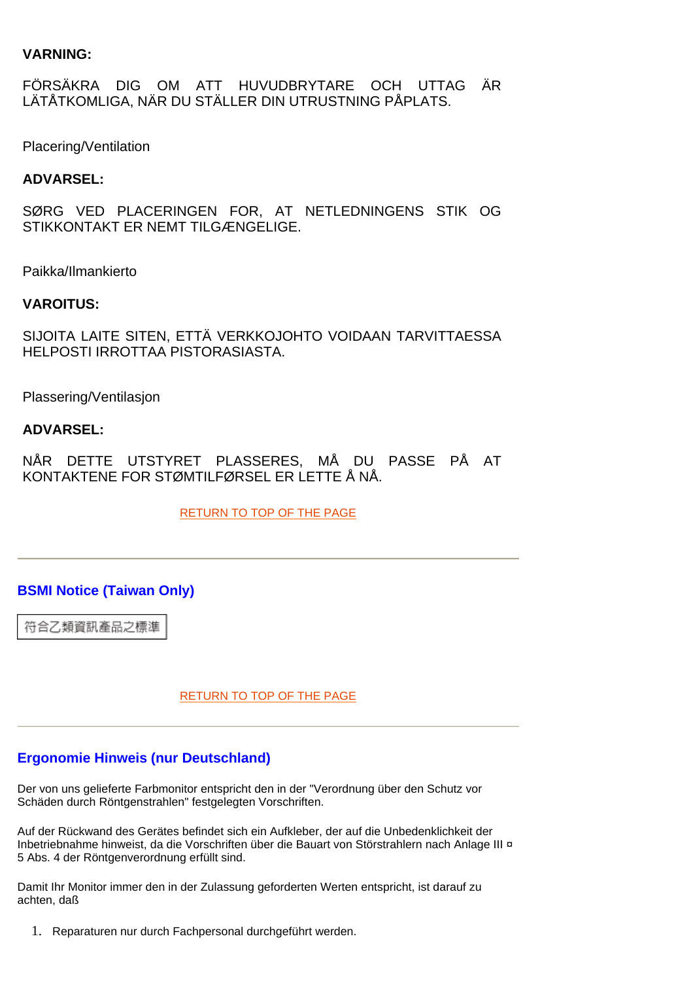# <span id="page-6-0"></span>**VARNING:**

FÖRSÄKRA DIG OM ATT HUVUDBRYTARE OCH UTTAG ÄR LÄTÅTKOMLIGA, NÄR DU STÄLLER DIN UTRUSTNING PÅPLATS.

Placering/Ventilation

## **ADVARSEL:**

SØRG VED PLACERINGEN FOR, AT NETLEDNINGENS STIK OG STIKKONTAKT ER NEMT TILGÆNGELIGE.

Paikka/Ilmankierto

### **VAROITUS:**

SIJOITA LAITE SITEN, ETTÄ VERKKOJOHTO VOIDAAN TARVITTAESSA HELPOSTI IRROTTAA PISTORASIASTA.

Plassering/Ventilasjon

### **ADVARSEL:**

NÅR DETTE UTSTYRET PLASSERES, MÅ DU PASSE PÅ AT KONTAKTENE FOR STØMTILFØRSEL ER LETTE Å NÅ.

[RETURN TO TOP OF THE PAGE](#page-4-0)

# **BSMI Notice (Taiwan Only)**

符合乙類資訊產品之標準

[RETURN TO TOP OF THE PAGE](#page-4-0)

### **Ergonomie Hinweis (nur Deutschland)**

Der von uns gelieferte Farbmonitor entspricht den in der "Verordnung über den Schutz vor Schäden durch Röntgenstrahlen" festgelegten Vorschriften.

Auf der Rückwand des Gerätes befindet sich ein Aufkleber, der auf die Unbedenklichkeit der Inbetriebnahme hinweist, da die Vorschriften über die Bauart von Störstrahlern nach Anlage III ¤ 5 Abs. 4 der Röntgenverordnung erfüllt sind.

Damit Ihr Monitor immer den in der Zulassung geforderten Werten entspricht, ist darauf zu achten, daß

1. Reparaturen nur durch Fachpersonal durchgeführt werden.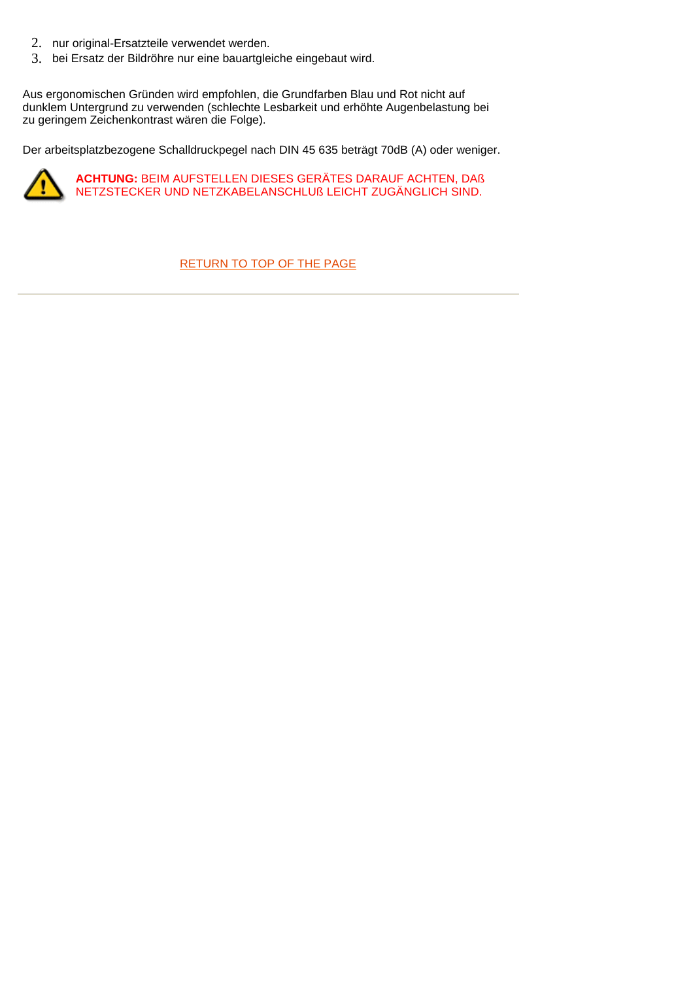- 2. nur original-Ersatzteile verwendet werden.
- 3. bei Ersatz der Bildröhre nur eine bauartgleiche eingebaut wird.

Aus ergonomischen Gründen wird empfohlen, die Grundfarben Blau und Rot nicht auf dunklem Untergrund zu verwenden (schlechte Lesbarkeit und erhöhte Augenbelastung bei zu geringem Zeichenkontrast wären die Folge).

Der arbeitsplatzbezogene Schalldruckpegel nach DIN 45 635 beträgt 70dB (A) oder weniger.



**ACHTUNG:** BEIM AUFSTELLEN DIESES GERÄTES DARAUF ACHTEN, DAß NETZSTECKER UND NETZKABELANSCHLUß LEICHT ZUGÄNGLICH SIND.

#### [RETURN TO TOP OF THE PAGE](#page-4-0)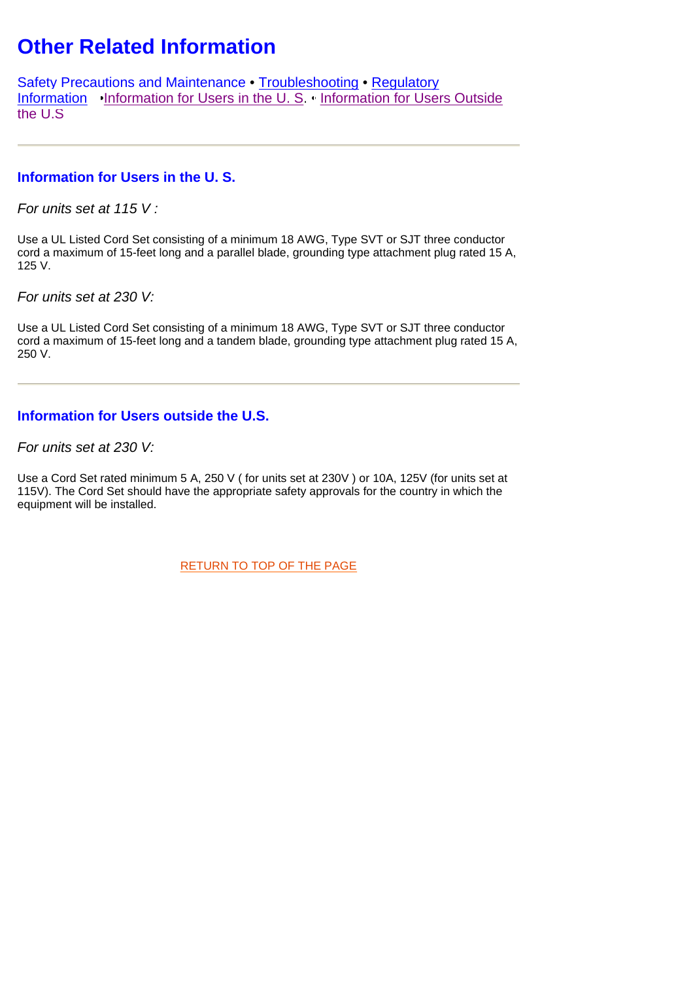# <span id="page-8-1"></span><span id="page-8-0"></span>**Other Related Information**

[Safety Precautions and Maintenance](#page-1-3) • [Troubleshooting](#page-2-1) • [Regulatory](#page-4-0)  [Information](#page-4-0) [•Information for Users in the U. S.](#page-8-2) [• Information for Users Outside](#page-8-3)  [the U.S](#page-8-3)

# <span id="page-8-2"></span>**Information for Users in the U. S.**

*For units set at 115 V :* 

Use a UL Listed Cord Set consisting of a minimum 18 AWG, Type SVT or SJT three conductor cord a maximum of 15-feet long and a parallel blade, grounding type attachment plug rated 15 A, 125 V.

*For units set at 230 V:* 

<span id="page-8-3"></span>Use a UL Listed Cord Set consisting of a minimum 18 AWG, Type SVT or SJT three conductor cord a maximum of 15-feet long and a tandem blade, grounding type attachment plug rated 15 A, 250 V.

# **Information for Users outside the U.S.**

*For units set at 230 V:*

Use a Cord Set rated minimum 5 A, 250 V ( for units set at 230V ) or 10A, 125V (for units set at 115V). The Cord Set should have the appropriate safety approvals for the country in which the equipment will be installed.

[RETURN TO TOP OF THE PAGE](#page-8-0)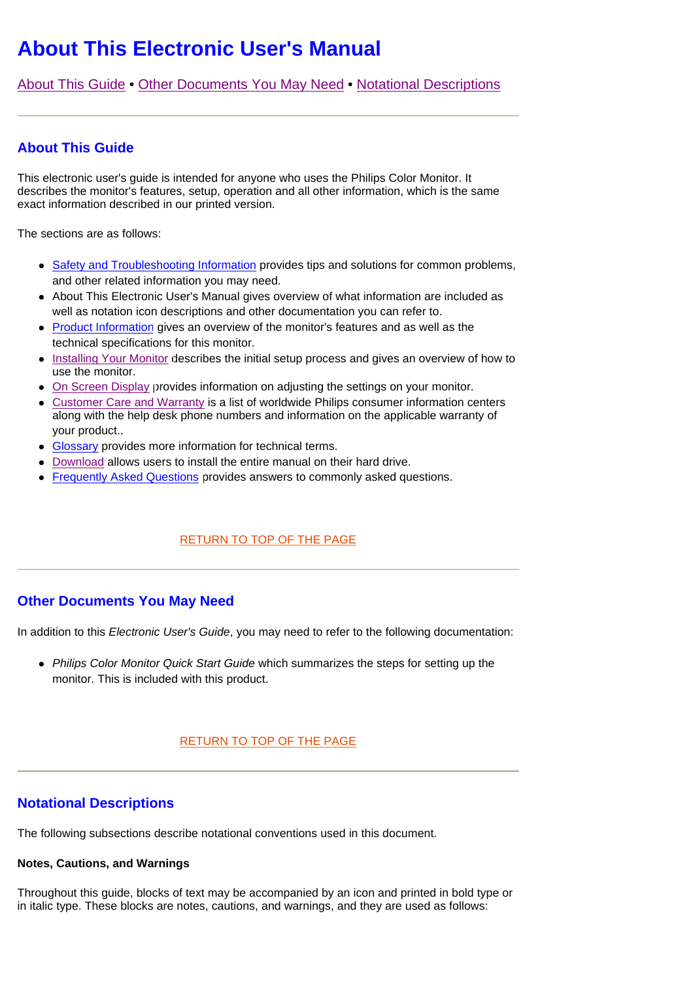# <span id="page-9-0"></span>**About This Electronic User's Manual**

[About This Guide](#page-9-0) • [Other Documents You May Need](#page-9-1) • [Notational Descriptions](#page-9-1)

# **About This Guide**

This electronic user's guide is intended for anyone who uses the Philips Color Monitor. It describes the monitor's features, setup, operation and all other information, which is the same exact information described in our printed version.

<span id="page-9-1"></span>The sections are as follows:

- [Safety and Troubleshooting Information](#page-1-1) provides tips and solutions for common problems, and other related information you may need.
- About This Electronic User's Manual gives overview of what information are included as well as notation icon descriptions and other documentation you can refer to.
- Product Information gives an overview of the monitor's features and as well as the technical specifications for this monitor.
- **.** [Installing Your Monitor d](#page-14-0)escribes the initial setup process and gives an overview of how to use the monitor.
- [On Screen Display p](#page-16-0)rovides information on adjusting the settings on your monitor.
- Customer Care and Warranty is a list of worldwide Philips consumer information centers along with the help desk phone numbers and information on the applicable warranty of your product..
- [Glossary](#page-40-0) provides more information for technical terms.
- [Download](#page-56-0) allows users to install the entire manual on their hard drive.
- [Frequently Asked Questions](#page-34-0) provides answers to commonly asked questions.

### [RETURN TO TOP OF THE PAGE](#page-9-0)

### **Other Documents You May Need**

In addition to this *Electronic User's Guide*, you may need to refer to the following documentation:

• *Philips Color Monitor Quick Start Guide* which summarizes the steps for setting up the monitor. This is included with this product.

### [RETURN TO TOP OF THE PAGE](#page-9-0)

### **Notational Descriptions**

The following subsections describe notational conventions used in this document.

#### **Notes, Cautions, and Warnings**

Throughout this guide, blocks of text may be accompanied by an icon and printed in bold type or in italic type. These blocks are notes, cautions, and warnings, and they are used as follows: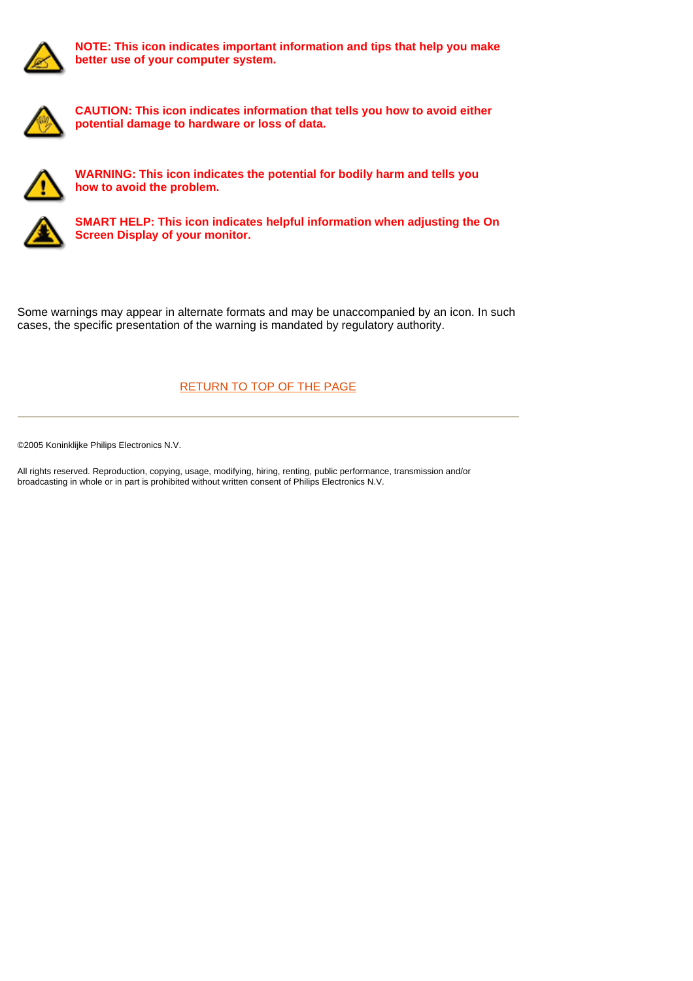

**NOTE: This icon indicates important information and tips that help you make better use of your computer system.**



**CAUTION: This icon indicates information that tells you how to avoid either potential damage to hardware or loss of data.**



**WARNING: This icon indicates the potential for bodily harm and tells you how to avoid the problem.**



**SMART HELP: This icon indicates helpful information when adjusting the On Screen Display of your monitor.**

Some warnings may appear in alternate formats and may be unaccompanied by an icon. In such cases, the specific presentation of the warning is mandated by regulatory authority.

# [RETURN TO TOP OF THE PAGE](#page-9-0)

©2005 Koninklijke Philips Electronics N.V.

All rights reserved. Reproduction, copying, usage, modifying, hiring, renting, public performance, transmission and/or broadcasting in whole or in part is prohibited without written consent of Philips Electronics N.V.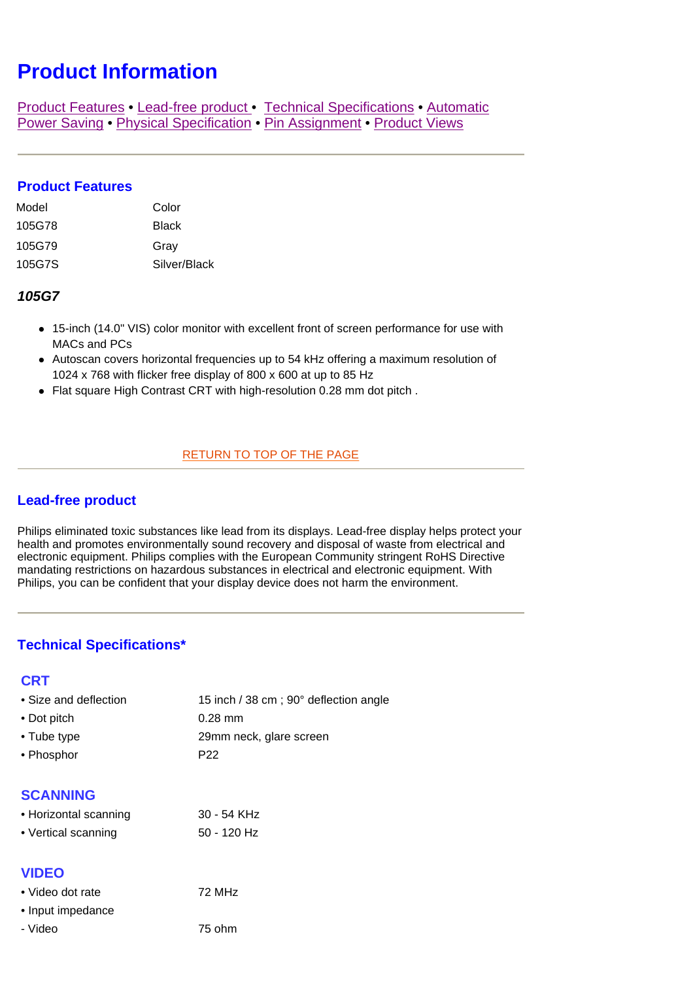# <span id="page-11-4"></span><span id="page-11-3"></span>**Product Information**

[Product Features](#page-11-0) • [Lead-free product](#page-11-1) • [Technical Specifications](#page-11-2) • [Automatic](#page-12-0)  [Power Saving](#page-12-0) • [Physical Specification](#page-12-0) • [Pin Assignment](#page-12-1) • [Product Views](#page-13-0)

## <span id="page-11-0"></span>**Product Features**

| Model  | Color        |
|--------|--------------|
| 105G78 | <b>Black</b> |
| 105G79 | Gray         |
| 105G7S | Silver/Black |

#### <span id="page-11-2"></span>*105G7*

- 15-inch (14.0" VIS) color monitor with excellent front of screen performance for use with MACs and PCs
- Autoscan covers horizontal frequencies up to 54 kHz offering a maximum resolution of 1024 x 768 with flicker free display of 800 x 600 at up to 85 Hz
- Flat square High Contrast CRT with high-resolution 0.28 mm dot pitch.

#### [RETURN TO TOP OF THE PAGE](#page-11-3)

# <span id="page-11-1"></span>**Lead-free product**

Philips eliminated toxic substances like lead from its displays. Lead-free display helps protect your health and promotes environmentally sound recovery and disposal of waste from electrical and electronic equipment. Philips complies with the European Community stringent RoHS Directive mandating restrictions on hazardous substances in electrical and electronic equipment. With Philips, you can be confident that your display device does not harm the environment.

# **Technical Specifications\***

#### **CRT**

| 15 inch / 38 cm; 90° deflection angle<br>• Size and deflection |
|----------------------------------------------------------------|
|----------------------------------------------------------------|

- Dot pitch 0.28 mm
- Tube type 29mm neck, glare screen
- Phosphor P22

# **SCANNING**

| • Horizontal scanning | 30 - 54 KHz   |
|-----------------------|---------------|
| • Vertical scanning   | $50 - 120$ Hz |

### **VIDEO**

| • Video dot rate  | 72 MH <sub>z</sub> |
|-------------------|--------------------|
| • Input impedance |                    |
| - Video           | 75 ohm             |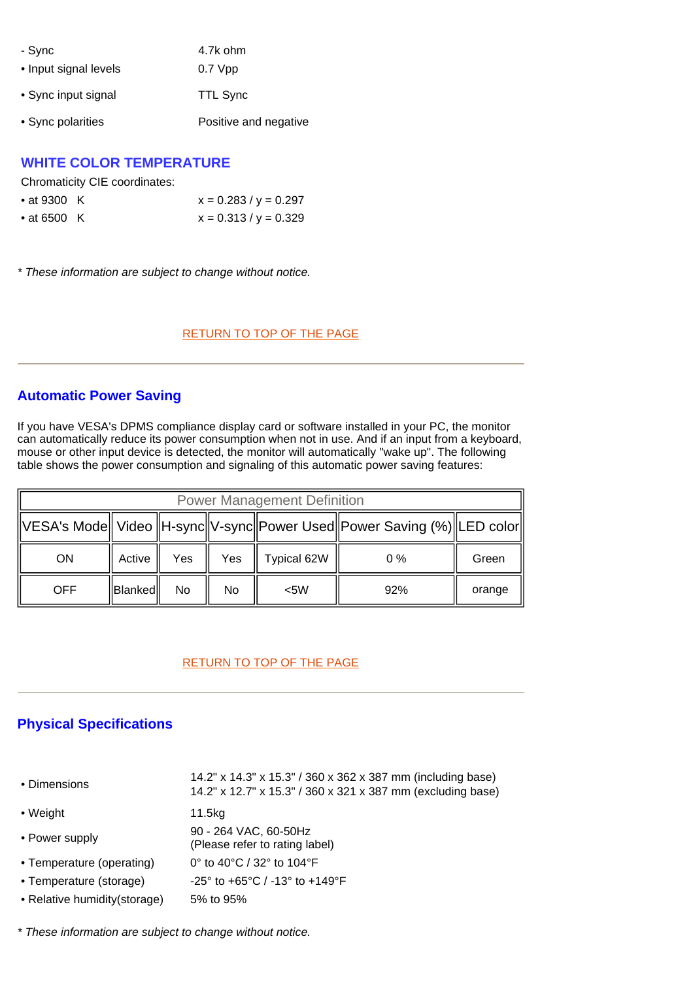| - Sync                | 4.7k ohm              |
|-----------------------|-----------------------|
| • Input signal levels | $0.7$ Vpp             |
| • Sync input signal   | <b>TTL Sync</b>       |
| • Sync polarities     | Positive and negative |

## **WHITE COLOR TEMPERATURE**

Chromaticity CIE coordinates:

| • at 9300 $\,$ K | $x = 0.283 / y = 0.297$ |
|------------------|-------------------------|
| • at 6500 K      | $x = 0.313 / y = 0.329$ |

*\* These information are subject to change without notice.*

#### [RETURN TO TOP OF THE PAGE](#page-11-4)

## <span id="page-12-0"></span>**Automatic Power Saving**

If you have VESA's DPMS compliance display card or software installed in your PC, the monitor can automatically reduce its power consumption when not in use. And if an input from a keyboard, mouse or other input device is detected, the monitor will automatically "wake up". The following table shows the power consumption and signaling of this automatic power saving features:

| <b>Power Management Definition</b>                                            |            |     |     |             |       |        |
|-------------------------------------------------------------------------------|------------|-----|-----|-------------|-------|--------|
| VESA's Mode   Video   H-sync  V-sync  Power Used  Power Saving (%)  LED color |            |     |     |             |       |        |
| <b>ON</b>                                                                     | Active     | Yes | Yes | Typical 62W | $0\%$ | Green  |
| <b>OFF</b>                                                                    | llBlankedl | No  | No. | $<$ 5W      | 92%   | orange |

#### [RETURN TO TOP OF THE PAGE](#page-11-4)

# **Physical Specifications**

| • Dimensions                  | 14.2" x 14.3" x 15.3" / 360 x 362 x 387 mm (including base)<br>14.2" x 12.7" x 15.3" / 360 x 321 x 387 mm (excluding base) |
|-------------------------------|----------------------------------------------------------------------------------------------------------------------------|
| • Weight                      | 11.5kg                                                                                                                     |
| • Power supply                | 90 - 264 VAC, 60-50Hz<br>(Please refer to rating label)                                                                    |
| • Temperature (operating)     | 0° to 40°C / 32° to 104°F                                                                                                  |
| • Temperature (storage)       | $-25^{\circ}$ to $+65^{\circ}$ C / $-13^{\circ}$ to $+149^{\circ}$ F                                                       |
| • Relative humidity (storage) | 5% to 95%                                                                                                                  |

<span id="page-12-1"></span>*\* These information are subject to change without notice.*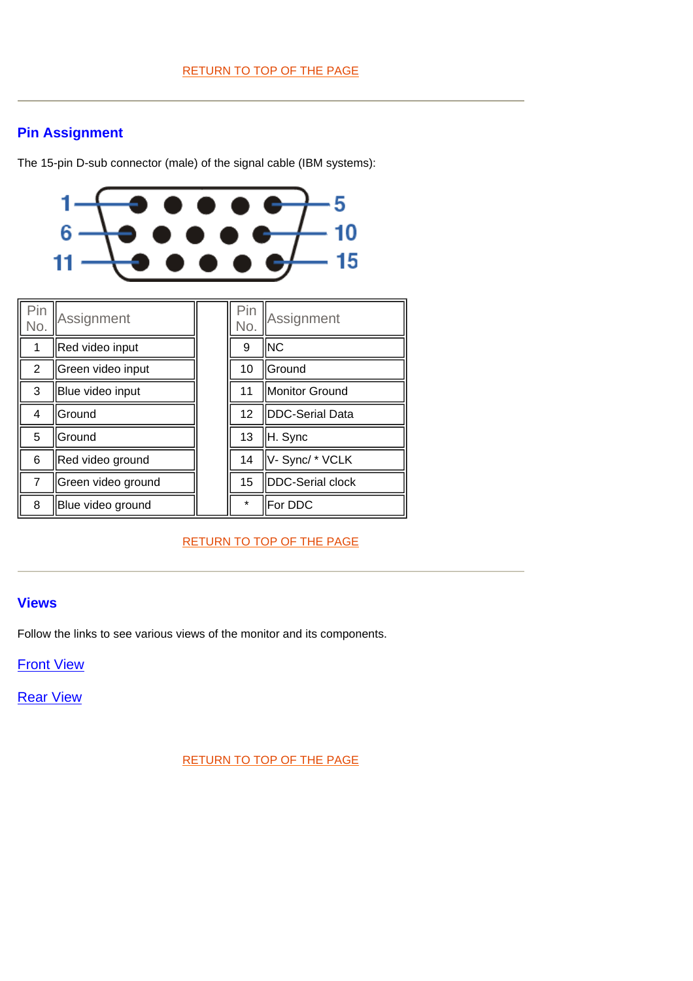# **Pin Assignment**

The 15-pin D-sub connector (male) of the signal cable (IBM systems):



<span id="page-13-0"></span>

| Pin<br>No.     | Assignment         | Pin<br>No. | Assignment              |
|----------------|--------------------|------------|-------------------------|
|                | Red video input    | 9          | INC                     |
| 2              | Green video input  | 10         | <b>IGround</b>          |
| 3              | Blue video input   | 11         | Monitor Ground          |
| 4              | Ground             | 12         | DDC-Serial Data         |
| 5              | <b>Ground</b>      | 13         | H. Sync                 |
| 6              | Red video ground   | 14         | V-Sync/*VCLK            |
| $\overline{7}$ | Green video ground | 15         | <b>DDC-Serial clock</b> |
| 8              | Blue video ground  | $\star$    | For DDC                 |

[RETURN TO TOP OF THE PAGE](#page-11-4)

# **Views**

Follow the links to see various views of the monitor and its components.

**Front View** 

Rear View

[RETURN TO TOP OF THE PAGE](#page-11-4)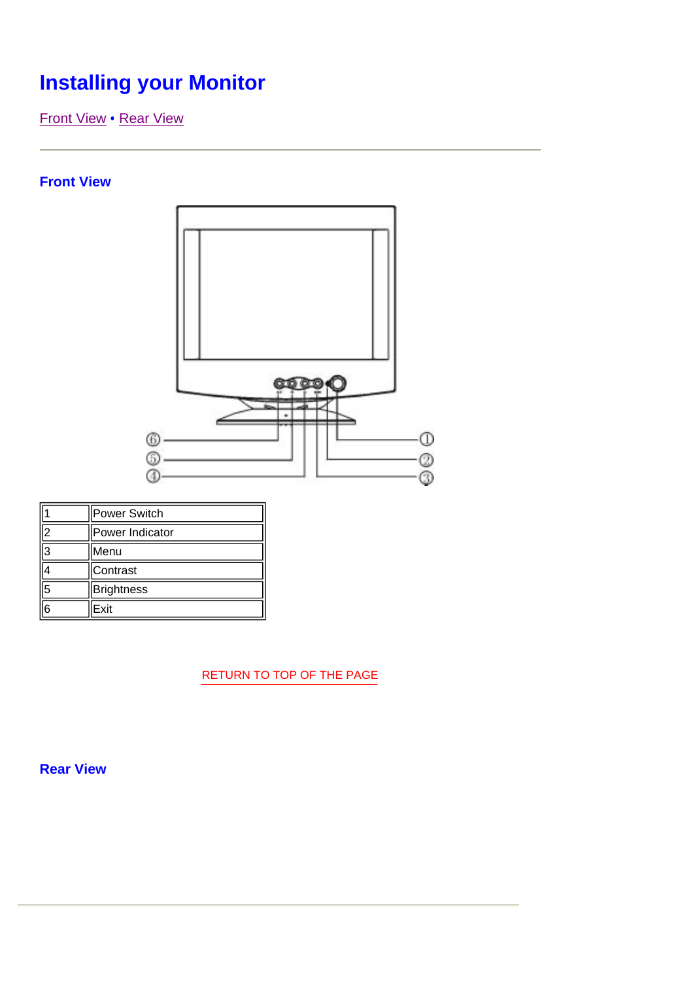# <span id="page-14-0"></span>**Installing your Monitor**

[Front View](#page-14-0) [• Rear View](#page-15-0) 

# **Front View**



|    | Power Switch      |  |  |
|----|-------------------|--|--|
| ١o | Power Indicator   |  |  |
| l3 | Menu              |  |  |
|    | Contrast          |  |  |
| 5  | <b>Brightness</b> |  |  |
| ြ  | Exit              |  |  |

[RETURN TO TOP OF THE PAGE](#page-14-0)

**Rear View**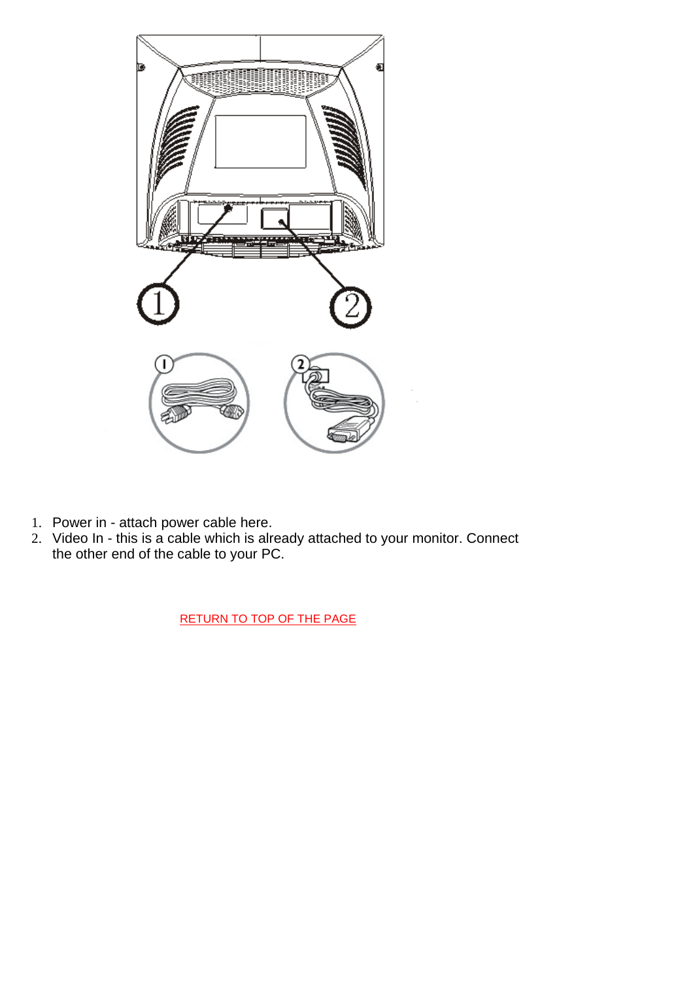<span id="page-15-0"></span>

- 1. Power in attach power cable here.
- 2. Video In this is a cable which is already attached to your monitor. Connect the other end of the cable to your PC.

[RETURN TO TOP OF THE PAGE](#page-14-0)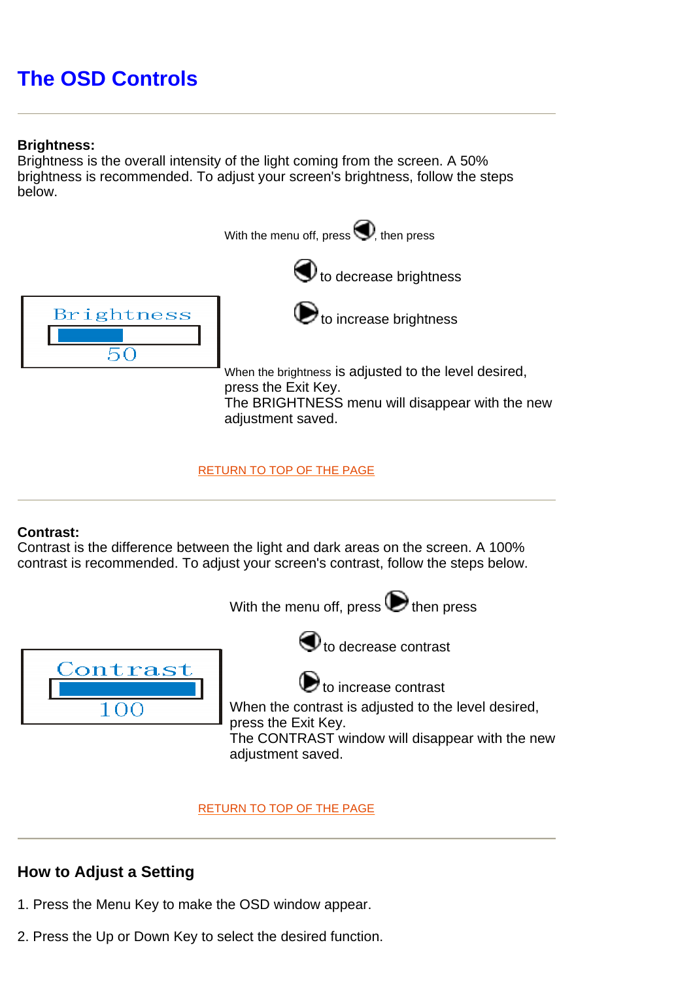# <span id="page-16-0"></span>**The OSD Controls**

# **Brightness:**

Brightness is the overall intensity of the light coming from the screen. A 50% brightness is recommended. To adjust your screen's brightness, follow the steps below.







 $\bigodot$  to increase brightness

When the brightness is adjusted to the level desired, press the Exit Key. The BRIGHTNESS menu will disappear with the new adiustment saved.

[RETURN TO TOP OF THE PAGE](#page-16-0)

# **Contrast:**

Contrast is the difference between the light and dark areas on the screen. A 100% contrast is recommended. To adjust your screen's contrast, follow the steps below.

With the menu off, press  $\bigodot$  then press



 $\bigcirc$  to decrease contrast

 $\bigcirc$  to increase contrast

When the contrast is adjusted to the level desired, press the Exit Key. The CONTRAST window will disappear with the new adjustment saved.

[RETURN TO TOP OF THE PAGE](#page-16-0)

# **How to Adjust a Setting**

- 1. Press the Menu Key to make the OSD window appear.
- 2. Press the Up or Down Key to select the desired function.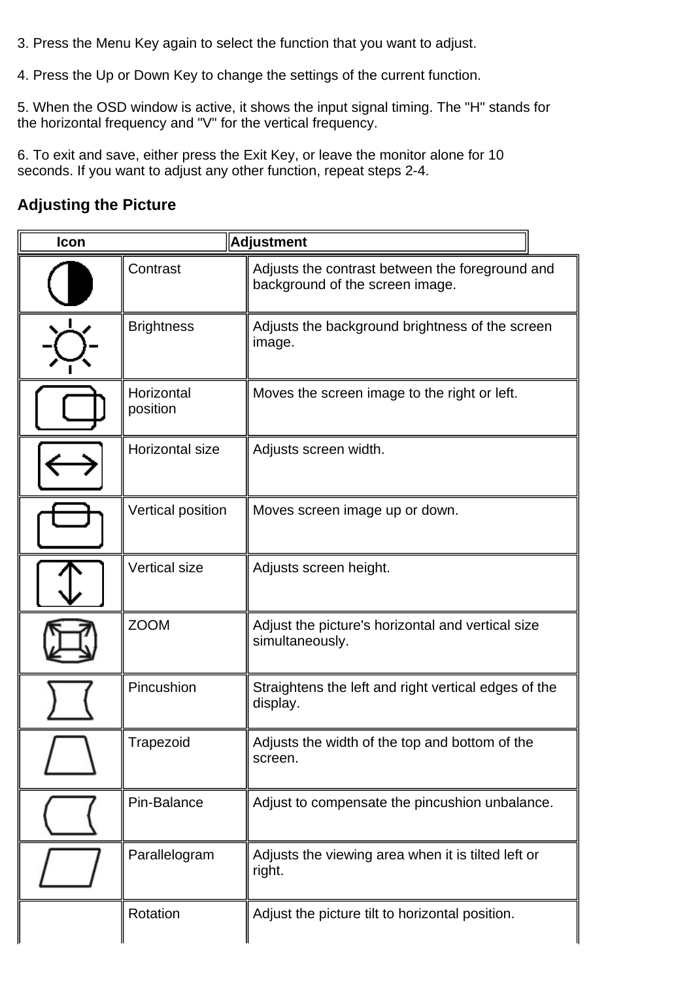- 3. Press the Menu Key again to select the function that you want to adjust.
- 4. Press the Up or Down Key to change the settings of the current function.

5. When the OSD window is active, it shows the input signal timing. The "H" stands for the horizontal frequency and "V" for the vertical frequency.

6. To exit and save, either press the Exit Key, or leave the monitor alone for 10 seconds. If you want to adjust any other function, repeat steps 2-4.

# **Adjusting the Picture**

| Icon |                        | <b>Adjustment</b>                                                                  |
|------|------------------------|------------------------------------------------------------------------------------|
|      | Contrast               | Adjusts the contrast between the foreground and<br>background of the screen image. |
|      | <b>Brightness</b>      | Adjusts the background brightness of the screen<br>image.                          |
|      | Horizontal<br>position | Moves the screen image to the right or left.                                       |
|      | Horizontal size        | Adjusts screen width.                                                              |
|      | Vertical position      | Moves screen image up or down.                                                     |
|      | <b>Vertical size</b>   | Adjusts screen height.                                                             |
|      | <b>ZOOM</b>            | Adjust the picture's horizontal and vertical size<br>simultaneously.               |
|      | Pincushion             | Straightens the left and right vertical edges of the<br>display.                   |
|      | Trapezoid              | Adjusts the width of the top and bottom of the<br>screen.                          |
|      | Pin-Balance            | Adjust to compensate the pincushion unbalance.                                     |
|      | Parallelogram          | Adjusts the viewing area when it is tilted left or<br>right.                       |
|      | Rotation               | Adjust the picture tilt to horizontal position.                                    |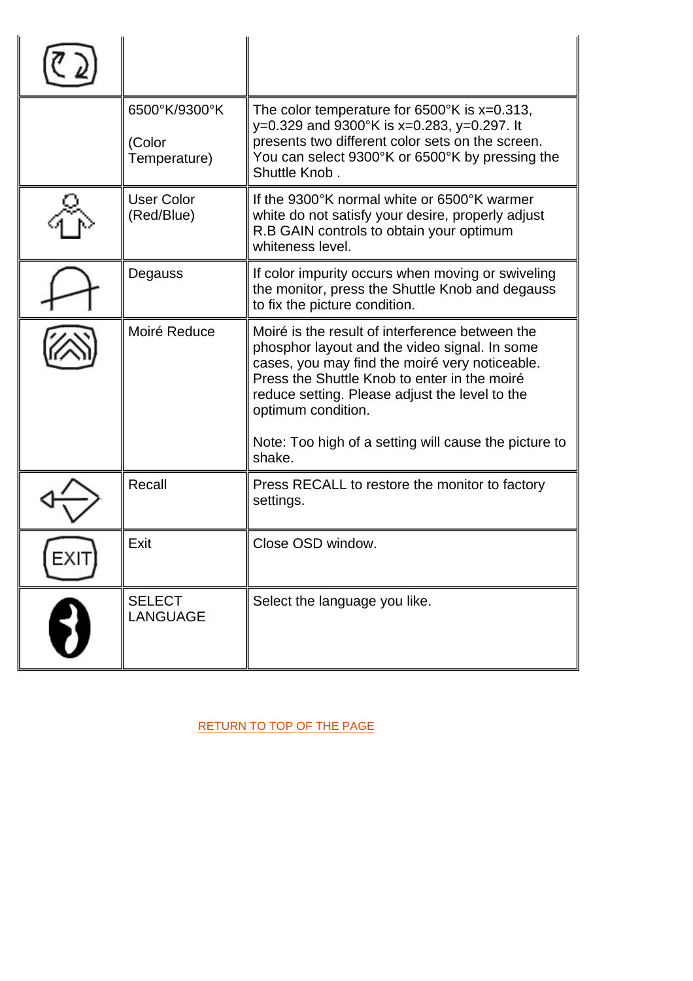|      | 6500°K/9300°K<br>(Color<br>Temperature) | The color temperature for $6500^{\circ}$ K is x=0.313,<br>y=0.329 and 9300°K is x=0.283, y=0.297. It<br>presents two different color sets on the screen.<br>You can select 9300°K or 6500°K by pressing the<br>Shuttle Knob.                                                                                                                  |
|------|-----------------------------------------|-----------------------------------------------------------------------------------------------------------------------------------------------------------------------------------------------------------------------------------------------------------------------------------------------------------------------------------------------|
|      | <b>User Color</b><br>(Red/Blue)         | If the 9300°K normal white or 6500°K warmer<br>white do not satisfy your desire, properly adjust<br>R.B GAIN controls to obtain your optimum<br>whiteness level.                                                                                                                                                                              |
|      | Degauss                                 | If color impurity occurs when moving or swiveling<br>the monitor, press the Shuttle Knob and degauss<br>to fix the picture condition.                                                                                                                                                                                                         |
|      | Moiré Reduce                            | Moiré is the result of interference between the<br>phosphor layout and the video signal. In some<br>cases, you may find the moiré very noticeable.<br>Press the Shuttle Knob to enter in the moiré<br>reduce setting. Please adjust the level to the<br>optimum condition.<br>Note: Too high of a setting will cause the picture to<br>shake. |
|      | Recall                                  | Press RECALL to restore the monitor to factory<br>settings.                                                                                                                                                                                                                                                                                   |
| EXIT | Exit                                    | Close OSD window.                                                                                                                                                                                                                                                                                                                             |
|      | <b>SELECT</b><br><b>LANGUAGE</b>        | Select the language you like.                                                                                                                                                                                                                                                                                                                 |

[RETURN TO TOP OF THE PAGE](#page-16-0)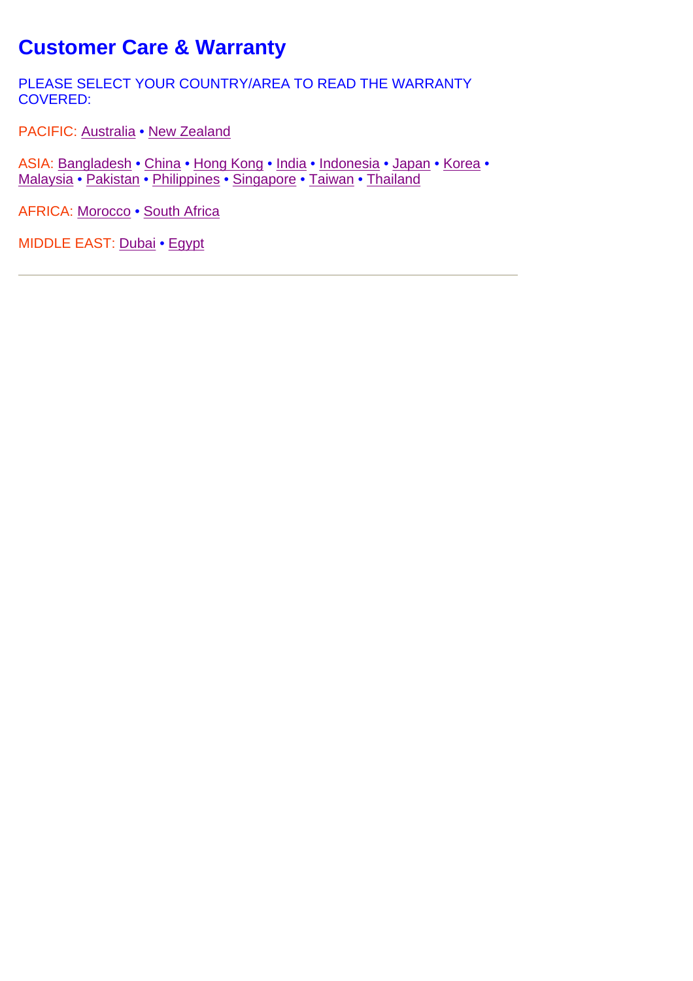# **Customer Care & Warranty**

PLEASE SELECT YOUR COUNTRY/AREA TO READ THE WARRANTY COVERED:

PACIFIC: [Australia](#page-20-0) • [New Zealand](#page-20-0)

ASIA: [Bangladesh](#page-20-0) • [China](#page-20-0) • [Hong Kong](#page-20-0) • [India](#page-20-0) • [Indonesia](#page-20-0) • [Japan](#page-20-0) • [Korea •](#page-20-0) [Malaysia • Pakistan](#page-20-0) • [Philippines](#page-20-0) • [Singapore](#page-20-0) • [Taiwan](#page-20-0) • [Thailand](#page-20-0)

AFRICA: [Morocco • South Africa](#page-20-0)

MIDDLE EAST: [Dubai](#page-20-0) • [Egypt](#page-20-0)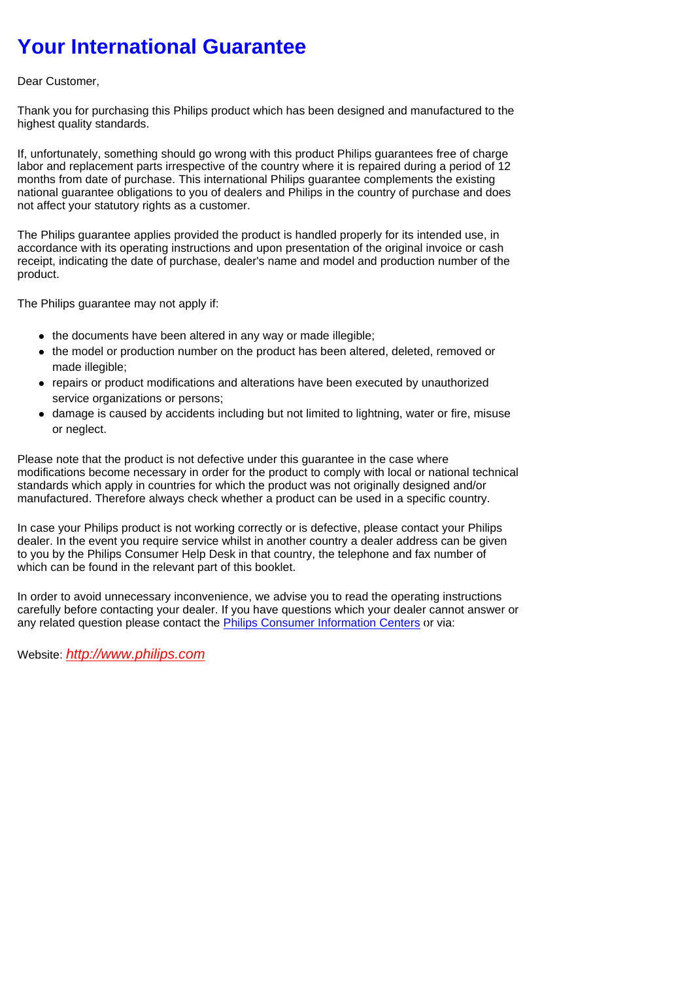# <span id="page-20-0"></span>**Your International Guarantee**

#### Dear Customer,

Thank you for purchasing this Philips product which has been designed and manufactured to the highest quality standards.

If, unfortunately, something should go wrong with this product Philips guarantees free of charge labor and replacement parts irrespective of the country where it is repaired during a period of 12 months from date of purchase. This international Philips guarantee complements the existing national guarantee obligations to you of dealers and Philips in the country of purchase and does not affect your statutory rights as a customer.

The Philips guarantee applies provided the product is handled properly for its intended use, in accordance with its operating instructions and upon presentation of the original invoice or cash receipt, indicating the date of purchase, dealer's name and model and production number of the product.

The Philips guarantee may not apply if:

- the documents have been altered in any way or made illegible;
- the model or production number on the product has been altered, deleted, removed or made illegible;
- repairs or product modifications and alterations have been executed by unauthorized service organizations or persons;
- damage is caused by accidents including but not limited to lightning, water or fire, misuse or neglect.

Please note that the product is not defective under this guarantee in the case where modifications become necessary in order for the product to comply with local or national technical standards which apply in countries for which the product was not originally designed and/or manufactured. Therefore always check whether a product can be used in a specific country.

In case your Philips product is not working correctly or is defective, please contact your Philips dealer. In the event you require service whilst in another country a dealer address can be given to you by the Philips Consumer Help Desk in that country, the telephone and fax number of which can be found in the relevant part of this booklet.

In order to avoid unnecessary inconvenience, we advise you to read the operating instructions carefully before contacting your dealer. If you have questions which your dealer cannot answer or any related question please contact the [Philips Consumer Information Centers o](#page-25-0)r via:

Website: *http://www.philips.com*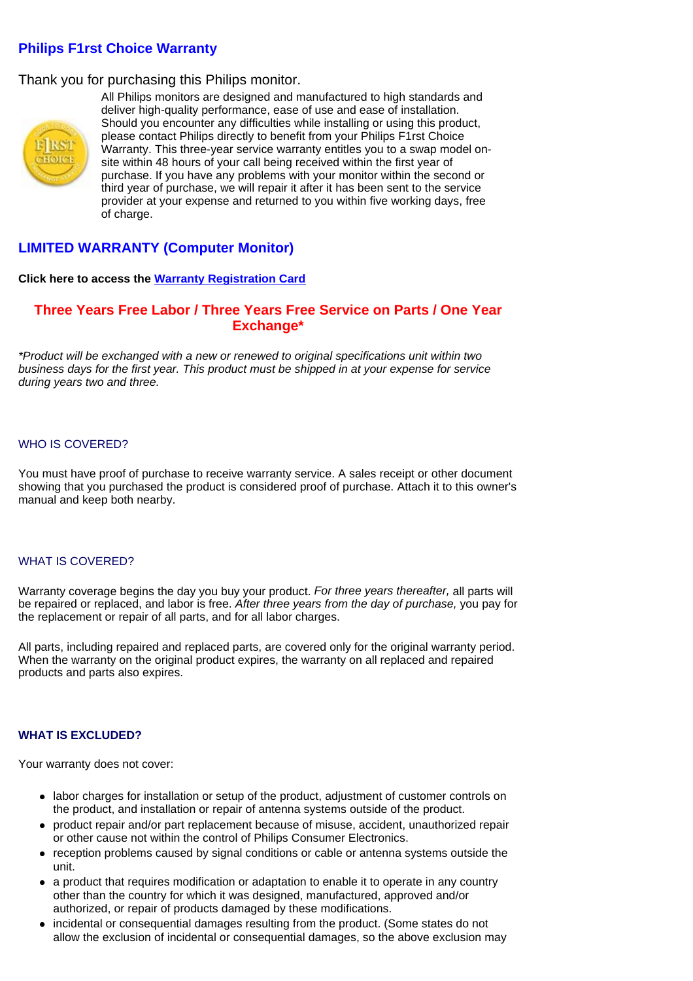# **Philips F1rst Choice Warranty**

## Thank you for purchasing this Philips monitor.



All Philips monitors are designed and manufactured to high standards and deliver high-quality performance, ease of use and ease of installation. Should you encounter any difficulties while installing or using this product, please contact Philips directly to benefit from your Philips F1rst Choice Warranty. This three-year service warranty entitles you to a swap model onsite within 48 hours of your call being received within the first year of purchase. If you have any problems with your monitor within the second or third year of purchase, we will repair it after it has been sent to the service provider at your expense and returned to you within five working days, free of charge.

# **LIMITED WARRANTY (Computer Monitor)**

#### **Click here to access the Warranty Registration Card**

### **Three Years Free Labor / Three Years Free Service on Parts / One Year Exchange\***

*\*Product will be exchanged with a new or renewed to original specifications unit within two business days for the first year. This product must be shipped in at your expense for service during years two and three.*

#### WHO IS COVERED?

You must have proof of purchase to receive warranty service. A sales receipt or other document showing that you purchased the product is considered proof of purchase. Attach it to this owner's manual and keep both nearby.

#### WHAT IS COVERED?

Warranty coverage begins the day you buy your product. *For three years thereafter,* all parts will be repaired or replaced, and labor is free. *After three years from the day of purchase,* you pay for the replacement or repair of all parts, and for all labor charges.

All parts, including repaired and replaced parts, are covered only for the original warranty period. When the warranty on the original product expires, the warranty on all replaced and repaired products and parts also expires.

#### **WHAT IS EXCLUDED?**

Your warranty does not cover:

- labor charges for installation or setup of the product, adjustment of customer controls on the product, and installation or repair of antenna systems outside of the product.
- product repair and/or part replacement because of misuse, accident, unauthorized repair or other cause not within the control of Philips Consumer Electronics.
- reception problems caused by signal conditions or cable or antenna systems outside the unit.
- a product that requires modification or adaptation to enable it to operate in any country other than the country for which it was designed, manufactured, approved and/or authorized, or repair of products damaged by these modifications.
- incidental or consequential damages resulting from the product. (Some states do not allow the exclusion of incidental or consequential damages, so the above exclusion may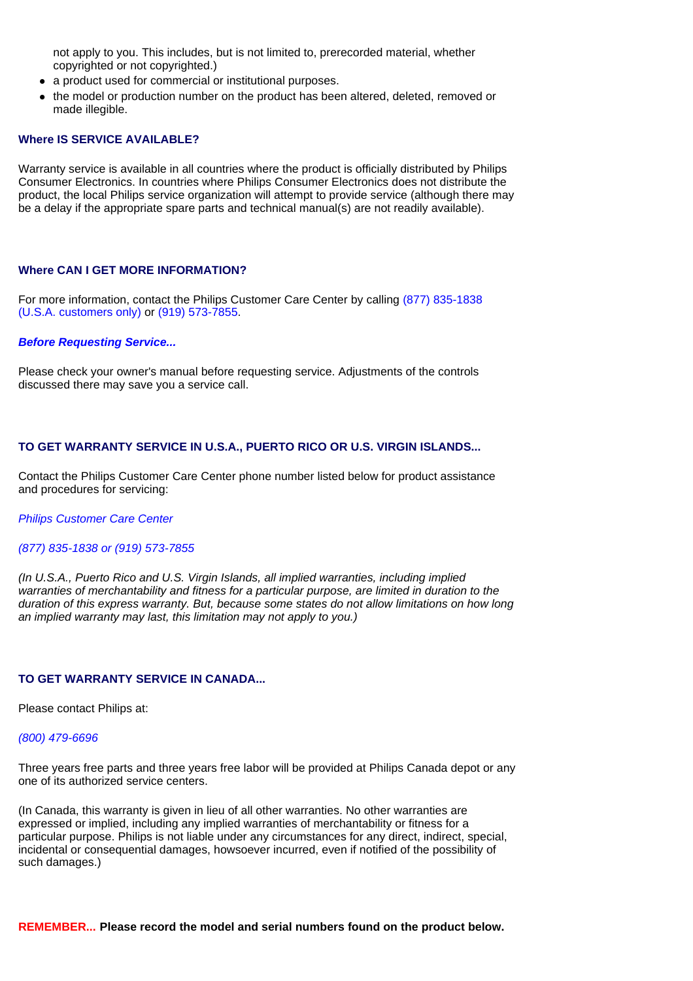not apply to you. This includes, but is not limited to, prerecorded material, whether copyrighted or not copyrighted.)

- a product used for commercial or institutional purposes.
- the model or production number on the product has been altered, deleted, removed or made illegible.

#### **Where IS SERVICE AVAILABLE?**

Warranty service is available in all countries where the product is officially distributed by Philips Consumer Electronics. In countries where Philips Consumer Electronics does not distribute the product, the local Philips service organization will attempt to provide service (although there may be a delay if the appropriate spare parts and technical manual(s) are not readily available).

#### **Where CAN I GET MORE INFORMATION?**

For more information, contact the Philips Customer Care Center by calling (877) 835-1838 (U.S.A. customers only) or (919) 573-7855.

#### *Before Requesting Service...*

Please check your owner's manual before requesting service. Adjustments of the controls discussed there may save you a service call.

#### **TO GET WARRANTY SERVICE IN U.S.A., PUERTO RICO OR U.S. VIRGIN ISLANDS...**

Contact the Philips Customer Care Center phone number listed below for product assistance and procedures for servicing:

#### *Philips Customer Care Center*

#### *(877) 835-1838 or (919) 573-7855*

*(In U.S.A., Puerto Rico and U.S. Virgin Islands, all implied warranties, including implied warranties of merchantability and fitness for a particular purpose, are limited in duration to the duration of this express warranty. But, because some states do not allow limitations on how long an implied warranty may last, this limitation may not apply to you.)*

#### **TO GET WARRANTY SERVICE IN CANADA...**

Please contact Philips at:

#### *(800) 479-6696*

Three years free parts and three years free labor will be provided at Philips Canada depot or any one of its authorized service centers.

(In Canada, this warranty is given in lieu of all other warranties. No other warranties are expressed or implied, including any implied warranties of merchantability or fitness for a particular purpose. Philips is not liable under any circumstances for any direct, indirect, special, incidental or consequential damages, howsoever incurred, even if notified of the possibility of such damages.)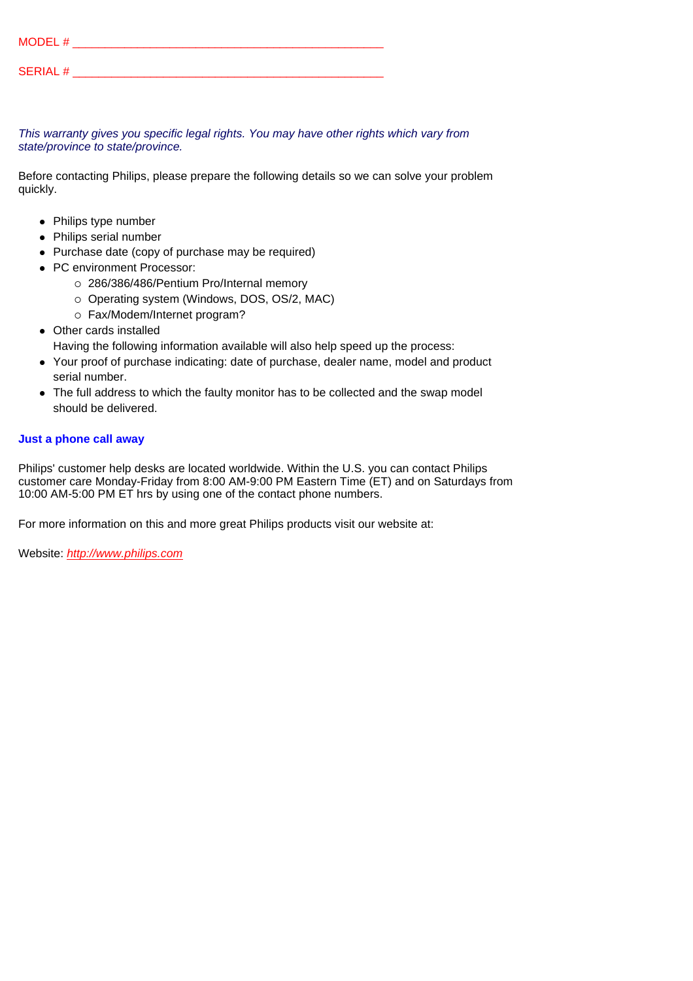| MODEL #         |  |  |  |
|-----------------|--|--|--|
| <b>SERIAL #</b> |  |  |  |

*This warranty gives you specific legal rights. You may have other rights which vary from state/province to state/province.*

Before contacting Philips, please prepare the following details so we can solve your problem quickly.

- Philips type number
- Philips serial number
- Purchase date (copy of purchase may be required)
- PC environment Processor:
	- { 286/386/486/Pentium Pro/Internal memory
	- { Operating system (Windows, DOS, OS/2, MAC)
	- $\circ$  Fax/Modem/Internet program?
- Other cards installed
	- Having the following information available will also help speed up the process:
- Your proof of purchase indicating: date of purchase, dealer name, model and product serial number.
- The full address to which the faulty monitor has to be collected and the swap model should be delivered.

#### **Just a phone call away**

Philips' customer help desks are located worldwide. Within the U.S. you can contact Philips customer care Monday-Friday from 8:00 AM-9:00 PM Eastern Time (ET) and on Saturdays from 10:00 AM-5:00 PM ET hrs by using one of the contact phone numbers.

For more information on this and more great Philips products visit our website at:

Website: *http://www.philips.com*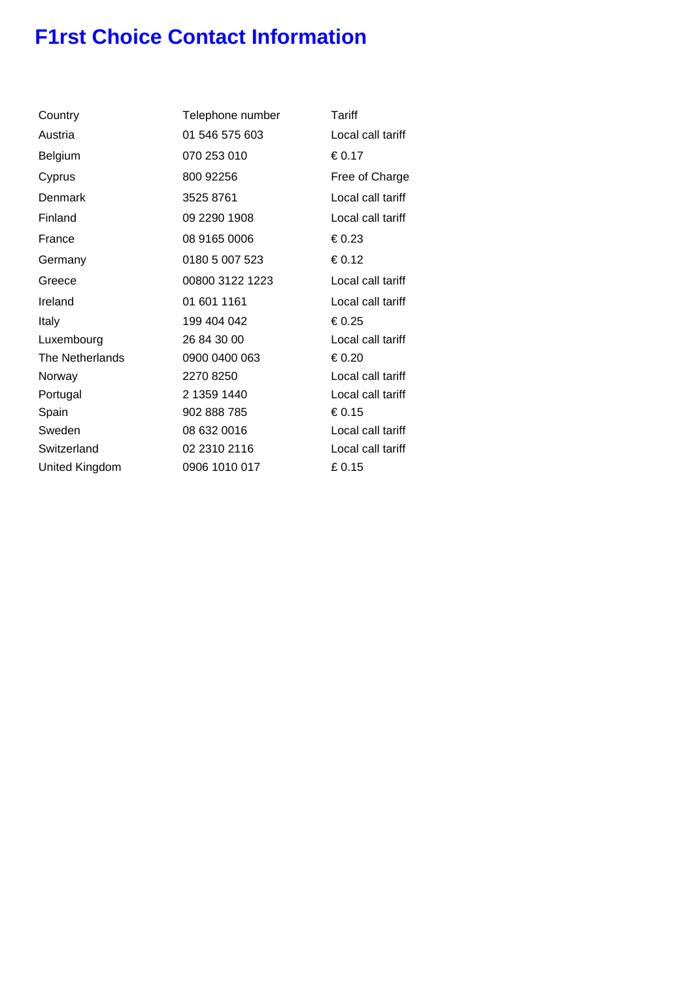# **F1rst Choice Contact Information**

| Country         | Telephone number | Tariff   |
|-----------------|------------------|----------|
| Austria         | 01 546 575 603   | Local    |
| Belgium         | 070 253 010      | €0.17    |
| Cyprus          | 800 92256        | Free c   |
| Denmark         | 3525 8761        | Local    |
| Finland         | 09 2290 1908     | Local    |
| France          | 08 9165 0006     | €0.23    |
| Germany         | 0180 5 007 523   | € 0.12   |
| Greece          | 00800 3122 1223  | Local    |
| Ireland         | 01 601 1161      | Local    |
| Italy           | 199 404 042      | €0.25    |
| Luxembourg      | 26 84 30 00      | Local    |
| The Netherlands | 0900 0400 063    | € $0.20$ |
| Norway          | 2270 8250        | Local    |
| Portugal        | 2 1359 1440      | Local    |
| Spain           | 902 888 785      | €0.15    |
| Sweden          | 08 632 0016      | Local    |
| Switzerland     | 02 2310 2116     | Local    |
| United Kingdom  | 0906 1010 017    | £0.15    |
|                 |                  |          |

Local call tariff  $\epsilon$ <sub>0.17</sub> Free of Charge Local call tariff Local call tariff Local call tariff Local call tariff Local call tariff Local call tariff Local call tariff Local call tariff Local call tariff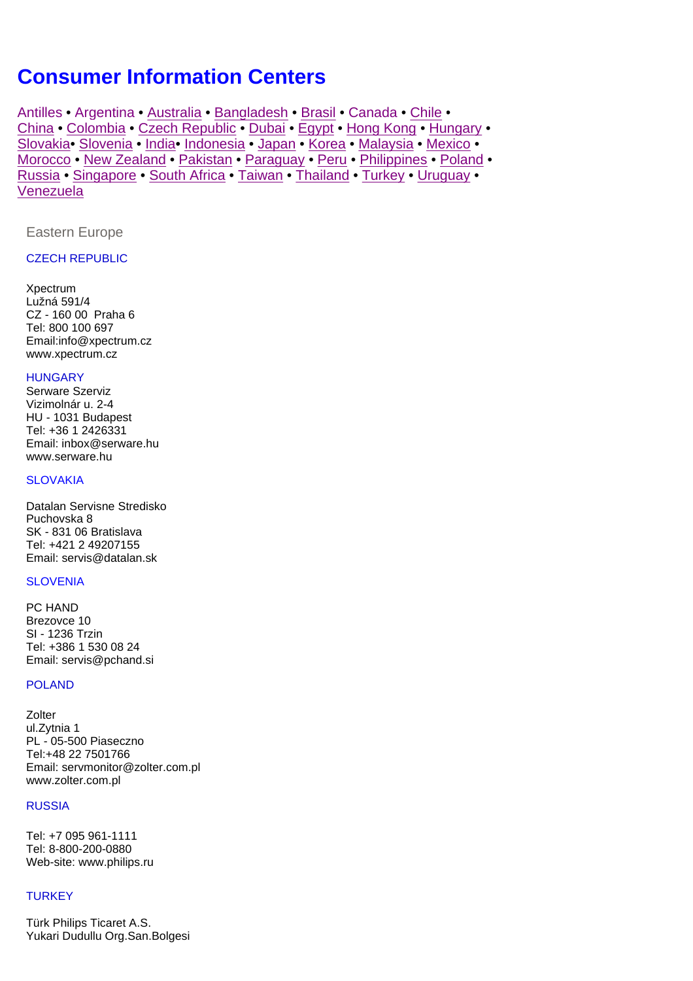# <span id="page-25-0"></span>**Consumer Information Centers**

[Antilles](#page-26-0) • [Argentina](#page-26-1) • [Australia](#page-27-0) • [Bangladesh](#page-27-0) • [Brasil](#page-26-2) • [Canada](#page-27-1) • [Chile •](#page-26-3) [China](#page-27-2) • [Colombia](#page-26-4) • [Czech Republic](#page-25-1) • [Dubai](#page-31-0) • [Egypt](#page-31-1) • [Hong Kong](#page-29-0) • [Hungary](#page-25-2) • [Slovakia• Slovenia](#page-25-3) • [India•](#page-29-1) [Indonesia](#page-30-0) • [Japan](#page-30-1) • [Korea](#page-30-2) • [Malaysia](#page-30-3) • [Mexico](#page-25-4) • [Morocco](#page-31-2) • [New Zealand](#page-27-3) • [Pakistan](#page-30-4) • [Paraguay](#page-26-5) • [Peru](#page-26-5) • [Philippines](#page-30-4) • [Poland •](#page-26-6) [Russia](#page-26-7) • [Singapore](#page-30-4) • [South Africa](#page-31-3) • [Taiwan](#page-30-5) • [Thailand](#page-30-6) • [Turkey](#page-25-5) • [Uruguay](#page-27-4) • [Venezuela](#page-27-5)

<span id="page-25-1"></span>Eastern Europe

#### CZECH REPUBLIC

<span id="page-25-5"></span><span id="page-25-3"></span>Xpectrum Lužná 591/4 CZ - 160 00 Praha 6 Tel: 800 100 697 Email:info@xpectrum.cz www.xpectrum.cz

#### <span id="page-25-2"></span>**HUNGARY**

Serware Szerviz Vizimolnár u. 2-4 HU - 1031 Budapest Tel: +36 1 2426331 Email: inbox@serware.hu www.serware.hu

#### **SLOVAKIA**

Datalan Servisne Stredisko Puchovska 8 SK - 831 06 Bratislava Tel: +421 2 49207155 Email: servis@datalan.sk

#### **SLOVENIA**

PC HAND Brezovce 10 SI - 1236 Trzin Tel: +386 1 530 08 24 Email: servis@pchand.si

#### POLAND

**Zolter** ul.Zytnia 1 PL - 05-500 Piaseczno Tel:+48 22 7501766 Email: servmonitor@zolter.com.pl www.zolter.com.pl

#### RUSSIA

Tel: +7 095 961-1111 Tel: 8-800-200-0880 Web-site: www.philips.ru

#### **TURKEY**

<span id="page-25-4"></span>Türk Philips Ticaret A.S. Yukari Dudullu Org.San.Bolgesi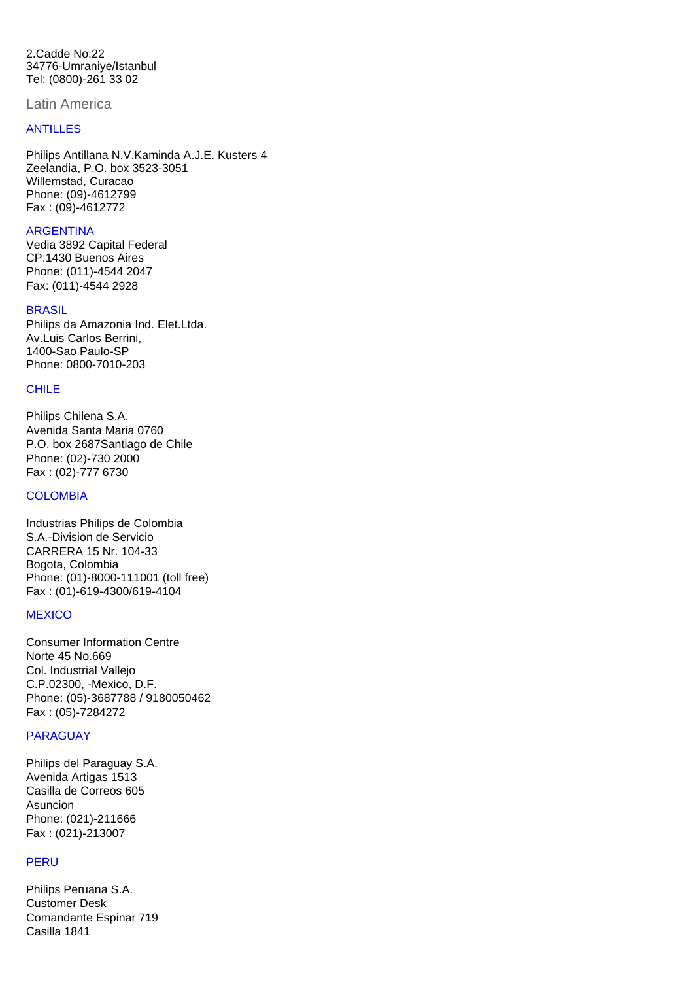<span id="page-26-7"></span><span id="page-26-6"></span>2.Cadde No:22 34776-Umraniye/Istanbul Tel: (0800)-261 33 02

<span id="page-26-0"></span>Latin America

#### ANTILLES

Philips Antillana N.V.Kaminda A.J.E. Kusters 4 Zeelandia, P.O. box 3523-3051 Willemstad, Curacao Phone: (09)-4612799 Fax : (09)-4612772

#### <span id="page-26-1"></span>**ARGENTINA**

Vedia 3892 Capital Federal CP:1430 Buenos Aires Phone: (011)-4544 2047 Fax: (011)-4544 2928

#### <span id="page-26-4"></span><span id="page-26-3"></span><span id="page-26-2"></span>**BRASIL**

<span id="page-26-5"></span>Philips da Amazonia Ind. Elet.Ltda. Av.Luis Carlos Berrini, 1400-Sao Paulo-SP Phone: 0800-7010-203

#### CHILE

Philips Chilena S.A. Avenida Santa Maria 0760 P.O. box 2687Santiago de Chile Phone: (02)-730 2000 Fax : (02)-777 6730

#### **COLOMBIA**

Industrias Philips de Colombia S.A.-Division de Servicio CARRERA 15 Nr. 104-33 Bogota, Colombia Phone: (01)-8000-111001 (toll free) Fax : (01)-619-4300/619-4104

#### **MEXICO**

Consumer Information Centre Norte 45 No.669 Col. Industrial Vallejo C.P.02300, -Mexico, D.F. Phone: (05)-3687788 / 9180050462 Fax : (05)-7284272

#### PARAGUAY

Philips del Paraguay S.A. Avenida Artigas 1513 Casilla de Correos 605 Asuncion Phone: (021)-211666 Fax : (021)-213007

#### **PERU**

Philips Peruana S.A. Customer Desk Comandante Espinar 719 Casilla 1841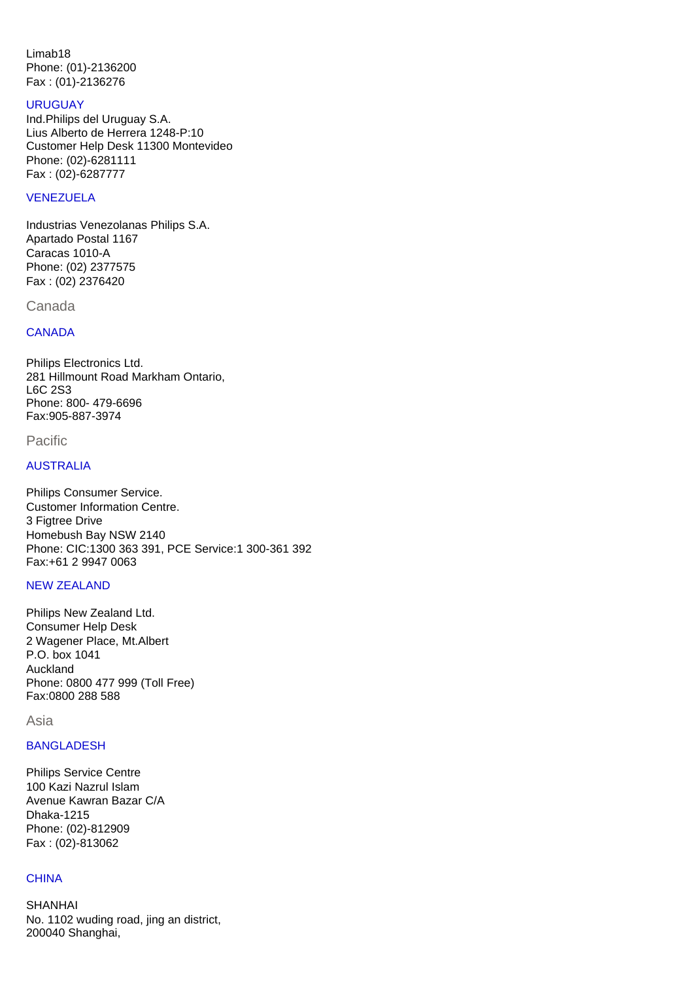<span id="page-27-4"></span>Limab18 Phone: (01)-2136200 Fax : (01)-2136276

#### URUGUAY Ind.Philips del Uruguay S.A. Lius Alberto de Herrera 1248-P:10 Customer Help Desk 11300 Montevideo Phone: (02)-6281111 Fax : (02)-6287777

#### <span id="page-27-5"></span>VENEZUELA

Industrias Venezolanas Philips S.A. Apartado Postal 1167 Caracas 1010-A Phone: (02) 2377575 Fax : (02) 2376420

<span id="page-27-3"></span><span id="page-27-2"></span><span id="page-27-1"></span><span id="page-27-0"></span>Canada

#### **CANADA**

Philips Electronics Ltd. 281 Hillmount Road Markham Ontario, L6C 2S3 Phone: 800- 479-6696 Fax:905-887-3974

Pacific

#### AUSTRALIA

Philips Consumer Service. Customer Information Centre. 3 Figtree Drive Homebush Bay NSW 2140 Phone: CIC:1300 363 391, PCE Service:1 300-361 392 Fax:+61 2 9947 0063

#### NEW ZEALAND

Philips New Zealand Ltd. Consumer Help Desk 2 Wagener Place, Mt.Albert P.O. box 1041 Auckland Phone: 0800 477 999 (Toll Free) Fax:0800 288 588

Asia

#### BANGLADESH

Philips Service Centre 100 Kazi Nazrul Islam Avenue Kawran Bazar C/A Dhaka-1215 Phone: (02)-812909 Fax : (02)-813062

#### **CHINA**

SHANHAI No. 1102 wuding road, jing an district, 200040 Shanghai,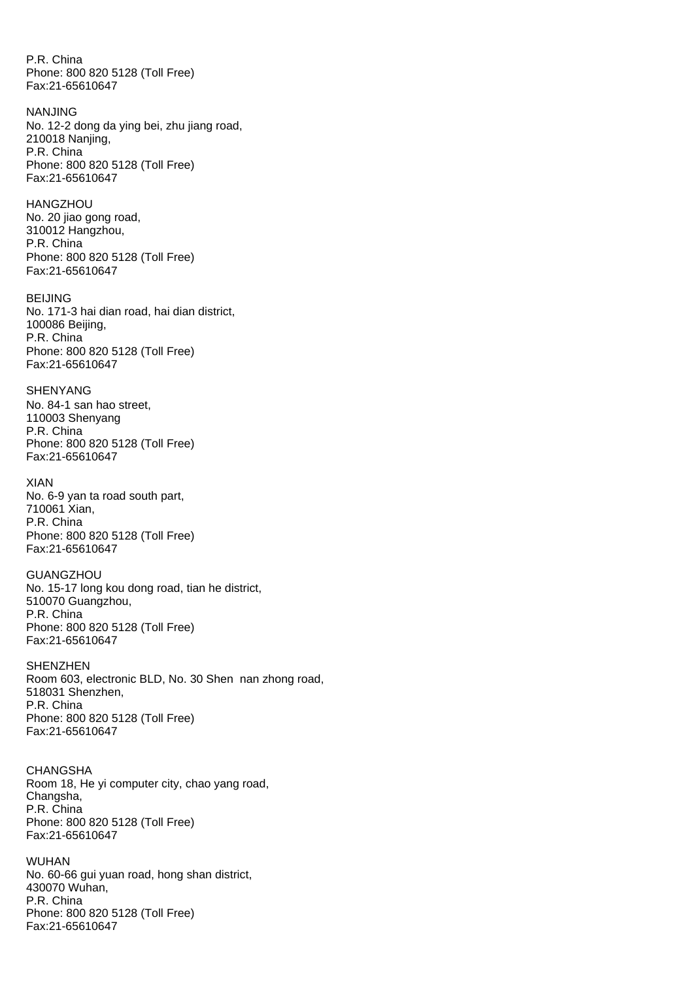P.R. China Phone: 800 820 5128 (Toll Free) Fax:21-65610647

NANJING No. 12-2 dong da ying bei, zhu jiang road, 210018 Nanjing, P.R. China Phone: 800 820 5128 (Toll Free) Fax:21-65610647

HANGZHOU No. 20 jiao gong road, 310012 Hangzhou, P.R. China Phone: 800 820 5128 (Toll Free) Fax:21-65610647

BEIJING No. 171-3 hai dian road, hai dian district, 100086 Beijing, P.R. China Phone: 800 820 5128 (Toll Free) Fax:21-65610647

SHENYANG No. 84-1 san hao street, 110003 Shenyang P.R. China Phone: 800 820 5128 (Toll Free) Fax:21-65610647

XIAN No. 6-9 yan ta road south part, 710061 Xian, P.R. China Phone: 800 820 5128 (Toll Free) Fax:21-65610647

**GUANGZHOU** No. 15-17 long kou dong road, tian he district, 510070 Guangzhou, P.R. China Phone: 800 820 5128 (Toll Free) Fax:21-65610647

**SHENZHEN** Room 603, electronic BLD, No. 30 Shen nan zhong road, 518031 Shenzhen, P.R. China Phone: 800 820 5128 (Toll Free) Fax:21-65610647

**CHANGSHA** Room 18, He yi computer city, chao yang road, Changsha, P.R. China Phone: 800 820 5128 (Toll Free) Fax:21-65610647

WUHAN No. 60-66 gui yuan road, hong shan district, 430070 Wuhan, P.R. China Phone: 800 820 5128 (Toll Free) Fax:21-65610647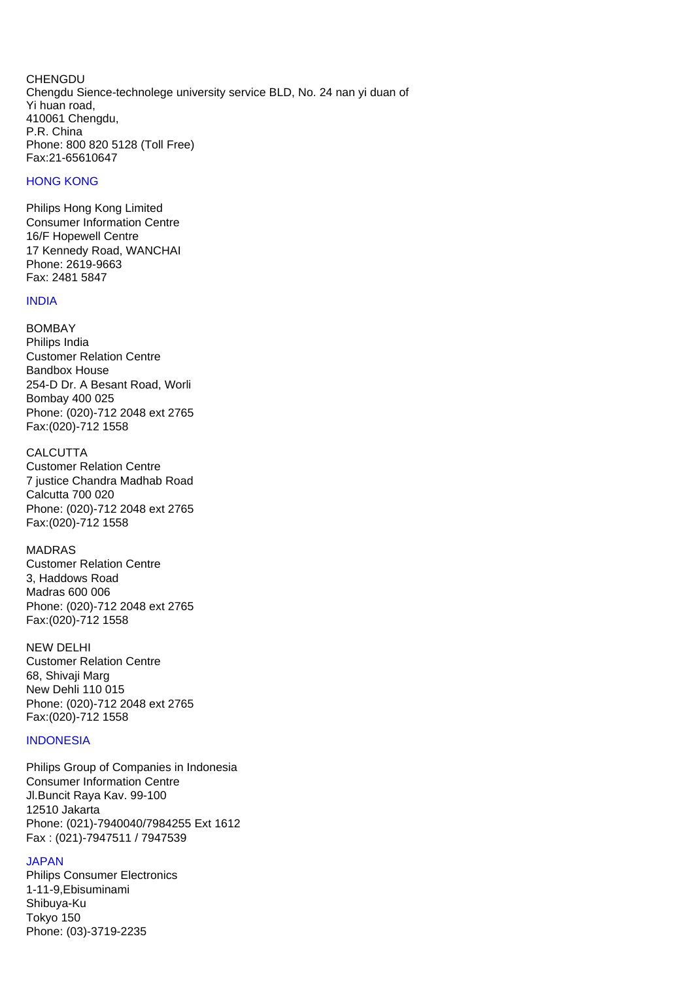CHENGDU Chengdu Sience-technolege university service BLD, No. 24 nan yi duan of Yi huan road, 410061 Chengdu, P.R. China Phone: 800 820 5128 (Toll Free) Fax:21-65610647

#### <span id="page-29-0"></span>HONG KONG

Philips Hong Kong Limited Consumer Information Centre 16/F Hopewell Centre 17 Kennedy Road, WANCHAI Phone: 2619-9663 Fax: 2481 5847

#### <span id="page-29-1"></span>INDIA

BOMBAY Philips India Customer Relation Centre Bandbox House 254-D Dr. A Besant Road, Worli Bombay 400 025 Phone: (020)-712 2048 ext 2765 Fax:(020)-712 1558

#### **CALCUTTA**

Customer Relation Centre 7 justice Chandra Madhab Road Calcutta 700 020 Phone: (020)-712 2048 ext 2765 Fax:(020)-712 1558

#### MADRAS

Customer Relation Centre 3, Haddows Road Madras 600 006 Phone: (020)-712 2048 ext 2765 Fax:(020)-712 1558

#### NEW DELHI

Customer Relation Centre 68, Shivaji Marg New Dehli 110 015 Phone: (020)-712 2048 ext 2765 Fax:(020)-712 1558

#### **INDONESIA**

Philips Group of Companies in Indonesia Consumer Information Centre Jl.Buncit Raya Kav. 99-100 12510 Jakarta Phone: (021)-7940040/7984255 Ext 1612 Fax : (021)-7947511 / 7947539

## JAPAN

Philips Consumer Electronics 1-11-9,Ebisuminami Shibuya-Ku Tokyo 150 Phone: (03)-3719-2235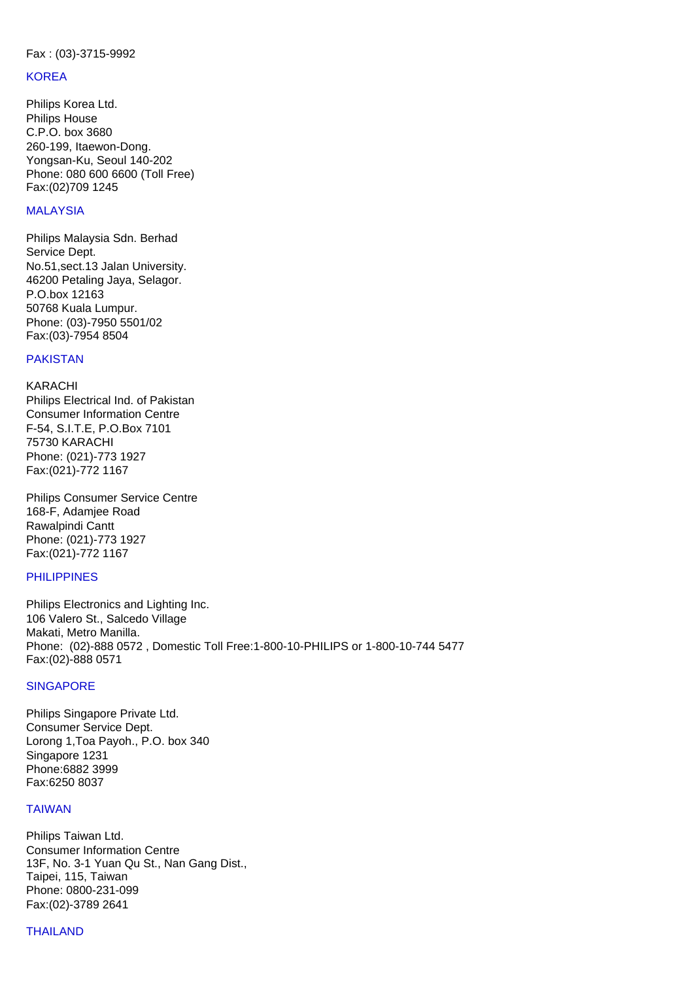#### <span id="page-30-2"></span><span id="page-30-1"></span><span id="page-30-0"></span>Fax : (03)-3715-9992

#### **KOREA**

Philips Korea Ltd. Philips House C.P.O. box 3680 260-199, Itaewon-Dong. Yongsan-Ku, Seoul 140-202 Phone: 080 600 6600 (Toll Free) Fax:(02)709 1245

#### <span id="page-30-3"></span>MALAYSIA

<span id="page-30-4"></span>Philips Malaysia Sdn. Berhad Service Dept. No.51,sect.13 Jalan University. 46200 Petaling Jaya, Selagor. P.O.box 12163 50768 Kuala Lumpur. Phone: (03)-7950 5501/02 Fax:(03)-7954 8504

#### <span id="page-30-5"></span>PAKISTAN

KARACHI Philips Electrical Ind. of Pakistan Consumer Information Centre F-54, S.I.T.E, P.O.Box 7101 75730 KARACHI Phone: (021)-773 1927 Fax:(021)-772 1167

Philips Consumer Service Centre 168-F, Adamjee Road Rawalpindi Cantt Phone: (021)-773 1927 Fax:(021)-772 1167

#### PHILIPPINES

Philips Electronics and Lighting Inc. 106 Valero St., Salcedo Village Makati, Metro Manilla. Phone: (02)-888 0572 , Domestic Toll Free:1-800-10-PHILIPS or 1-800-10-744 5477 Fax:(02)-888 0571

#### **SINGAPORE**

Philips Singapore Private Ltd. Consumer Service Dept. Lorong 1,Toa Payoh., P.O. box 340 Singapore 1231 Phone:6882 3999 Fax:6250 8037

#### TAIWAN

Philips Taiwan Ltd. Consumer Information Centre 13F, No. 3-1 Yuan Qu St., Nan Gang Dist., Taipei, 115, Taiwan Phone: 0800-231-099 Fax:(02)-3789 2641

#### <span id="page-30-6"></span>THAILAND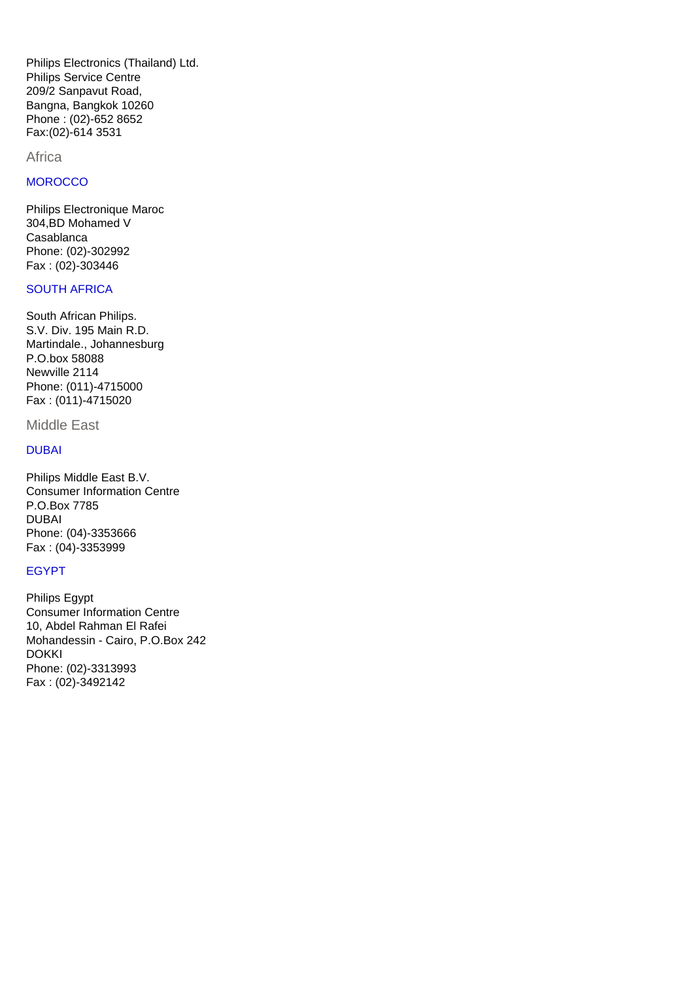Philips Electronics (Thailand) Ltd. Philips Service Centre 209/2 Sanpavut Road, Bangna, Bangkok 10260 Phone : (02)-652 8652 Fax:(02)-614 3531

#### Africa

#### <span id="page-31-2"></span>**MOROCCO**

Philips Electronique Maroc 304,BD Mohamed V Casablanca Phone: (02)-302992 Fax : (02)-303446

#### <span id="page-31-3"></span>SOUTH AFRICA

<span id="page-31-1"></span><span id="page-31-0"></span>South African Philips. S.V. Div. 195 Main R.D. Martindale., Johannesburg P.O.box 58088 Newville 2114 Phone: (011)-4715000 Fax : (011)-4715020

#### Middle East

#### DUBAI

Philips Middle East B.V. Consumer Information Centre P.O.Box 7785 DUBAI Phone: (04)-3353666 Fax : (04)-3353999

#### EGYPT

Philips Egypt Consumer Information Centre 10, Abdel Rahman El Rafei Mohandessin - Cairo, P.O.Box 242 DOKKI Phone: (02)-3313993 Fax : (02)-3492142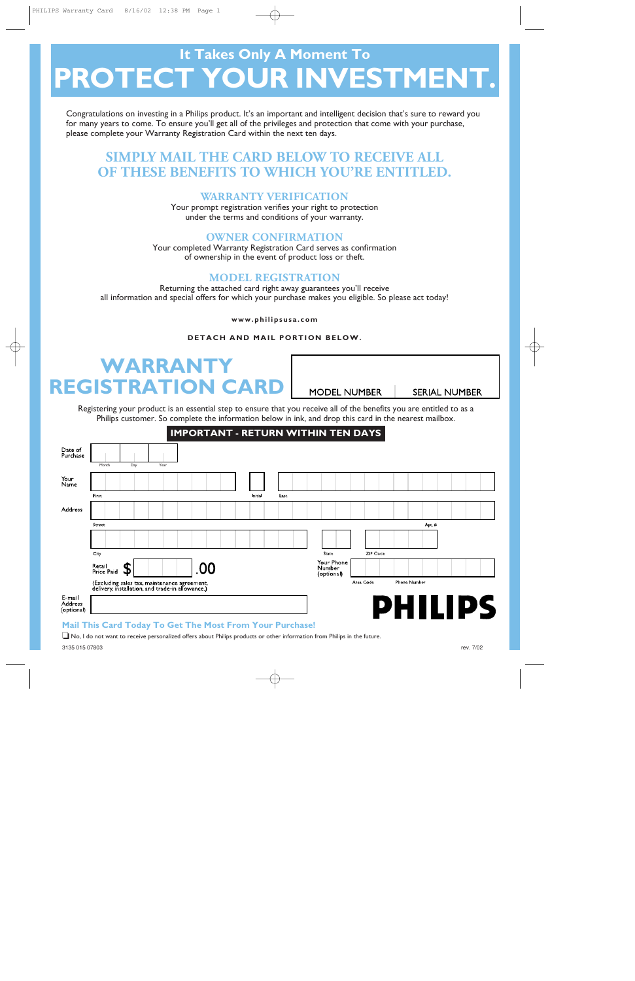# **It Takes Only A Moment To PROTECT YOUR INVESTMENT.**

Congratulations on investing in a Philips product. It's an important and intelligent decision that's sure to reward you for many years to come. To ensure you'll get all of the privileges and protection that come with your purchase, please complete your Warranty Registration Card within the next ten days.

# **SIMPLY MAIL THE CARD BELOW TO RECEIVE ALL OF THESE BENEFITS TO WHICH YOU'RE ENTITLED.**

# **WARRANTY VERIFICATION**

#### **OWNER CONFIRMATION**

## **MODEL REGISTRATION**

#### **DETACH AND MAIL PORTION BELOW.**

# **WARRANT REGISTRATION CARD**

# **IMPORTANT - RETURN WITHIN TEN DAYS**

|                       | <b>SIMPLY MAIL THE CARD BELOW TO RECEIVE ALL</b><br>OF THESE BENEFITS TO WHICH YOU'RE ENTITLED.                                                                                                                                 |                                                         |
|-----------------------|---------------------------------------------------------------------------------------------------------------------------------------------------------------------------------------------------------------------------------|---------------------------------------------------------|
|                       | <b>WARRANTY VERIFICATION</b><br>Your prompt registration verifies your right to protection<br>under the terms and conditions of your warranty.                                                                                  |                                                         |
|                       | <b>OWNER CONFIRMATION</b><br>Your completed Warranty Registration Card serves as confirmation<br>of ownership in the event of product loss or theft.                                                                            |                                                         |
|                       | <b>MODEL REGISTRATION</b><br>Returning the attached card right away guarantees you'll receive<br>all information and special offers for which your purchase makes you eligible. So please act today!                            |                                                         |
|                       | www.philipsusa.com                                                                                                                                                                                                              |                                                         |
|                       | DETACH AND MAIL PORTION BELOW.                                                                                                                                                                                                  |                                                         |
|                       |                                                                                                                                                                                                                                 |                                                         |
|                       | <b>WARRANTY</b>                                                                                                                                                                                                                 |                                                         |
|                       | <b>REGISTRATION CARD</b>                                                                                                                                                                                                        | <b>MODEL NUMBER</b><br><b>SERIAL NUMBER</b>             |
|                       | Registering your product is an essential step to ensure that you receive all of the benefits you are entitled to as a<br>Philips customer. So complete the information below in ink, and drop this card in the nearest mailbox. |                                                         |
|                       | <b>IMPORTANT - RETURN WITHIN TEN DAYS</b>                                                                                                                                                                                       |                                                         |
| Date of<br>Purchase   | Day<br>Month<br>Year                                                                                                                                                                                                            |                                                         |
| Your<br>Name          | First<br>Initial<br>Last                                                                                                                                                                                                        |                                                         |
| Address               |                                                                                                                                                                                                                                 |                                                         |
|                       | Street                                                                                                                                                                                                                          | Apt.#                                                   |
|                       |                                                                                                                                                                                                                                 |                                                         |
|                       | City<br>Retail                                                                                                                                                                                                                  | <b>ZIP Coce</b><br>State<br>Your Phone<br><b>Number</b> |
|                       | .00<br>Price Paid<br>(Excluding sales tax, maintenance agreement,                                                                                                                                                               | (optional)<br>Area Code<br>Phone Number                 |
| E mail                | delivery, installation, and trade-in allowance.)                                                                                                                                                                                |                                                         |
| Address<br>(optional) |                                                                                                                                                                                                                                 | <b>PHILIPS</b>                                          |
|                       |                                                                                                                                                                                                                                 |                                                         |

#### **Mail This Card Today To Get The Most From Your Purchase!**

3135 015 07803 rev. 7/02 ❏ No, I do not want to receive personalized offers about Philips products or other information from Philips in the future.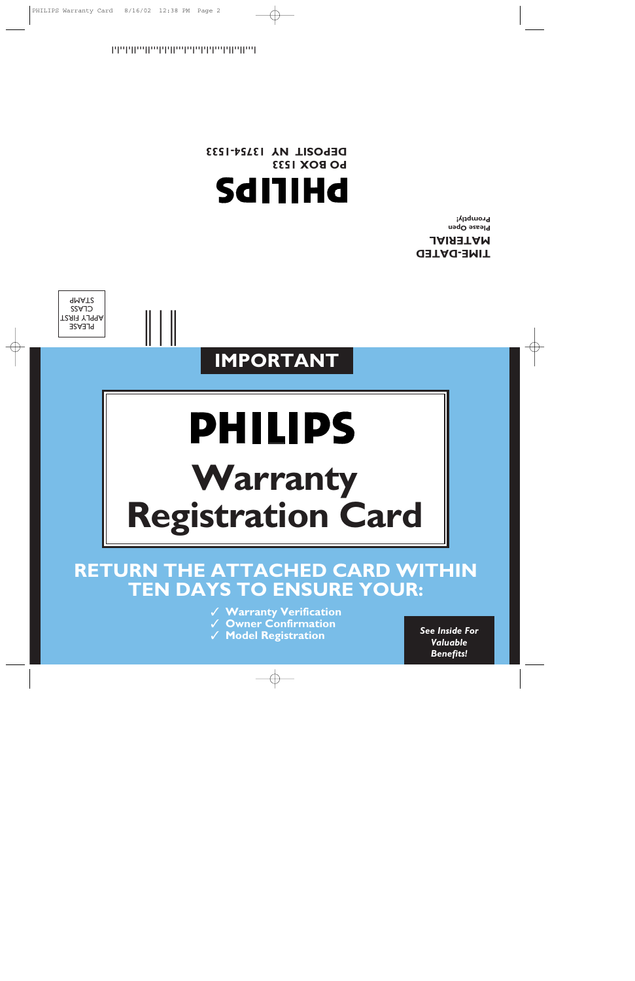**RETURN THE ATTACHED CARD WITHIN TEN DAYS TO ENSURE YOUR:** ✓ **Warranty Verification**

✓ **Owner Confirmation**

✓ **Model Registration** *See Inside For* 

# **Warranty Registration Card**

# **IMPORTANT**

**PHILIPS** 



**TIME-DATED MATERIAL Please Open** 

**Promptly!**

*Valuable Benefits!*

**DEPOSIT NY 13754-1533 PO BOX 1533 SdI1IHd** 

!1375415338!

 $\|\;\|$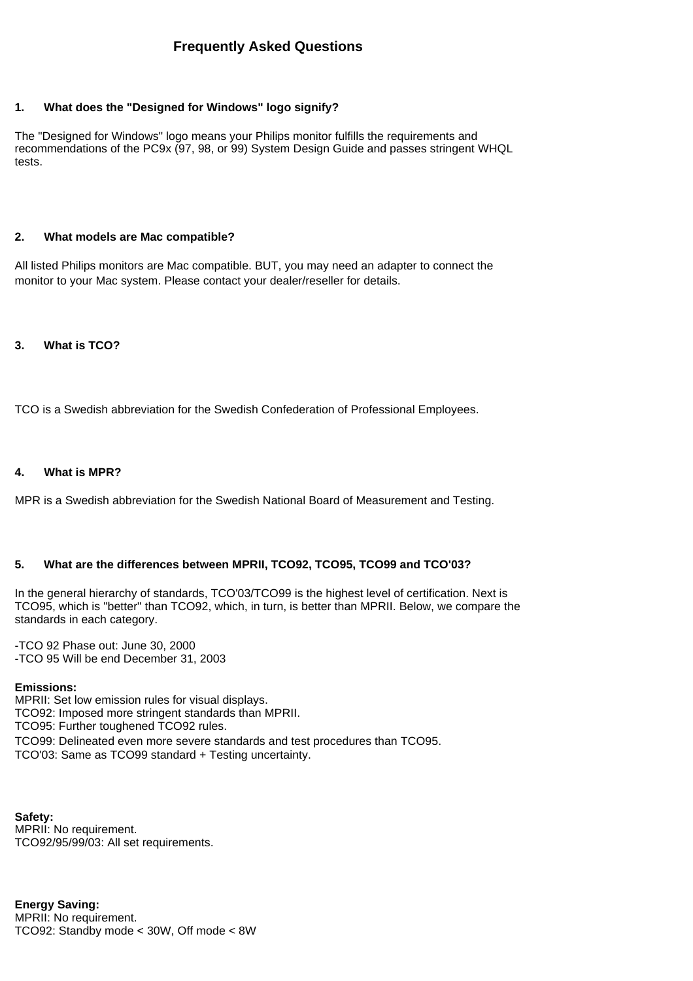#### <span id="page-34-0"></span>**1. What does the "Designed for Windows" logo signify?**

The "Designed for Windows" logo means your Philips monitor fulfills the requirements and recommendations of the PC9x (97, 98, or 99) System Design Guide and passes stringent WHQL tests.

#### **2. What models are Mac compatible?**

All listed Philips monitors are Mac compatible. BUT, you may need an adapter to connect the monitor to your Mac system. Please contact your dealer/reseller for details.

#### **3. What is TCO?**

TCO is a Swedish abbreviation for the Swedish Confederation of Professional Employees.

#### **4. What is MPR?**

MPR is a Swedish abbreviation for the Swedish National Board of Measurement and Testing.

#### **5. What are the differences between MPRII, TCO92, TCO95, TCO99 and TCO'03?**

In the general hierarchy of standards, TCO'03/TCO99 is the highest level of certification. Next is TCO95, which is "better" than TCO92, which, in turn, is better than MPRII. Below, we compare the standards in each category.

-TCO 92 Phase out: June 30, 2000 -TCO 95 Will be end December 31, 2003

#### **Emissions:**

MPRII: Set low emission rules for visual displays. TCO92: Imposed more stringent standards than MPRII. TCO95: Further toughened TCO92 rules. TCO99: Delineated even more severe standards and test procedures than TCO95. TCO'03: Same as TCO99 standard + Testing uncertainty.

**Safety:** MPRII: No requirement. TCO92/95/99/03: All set requirements.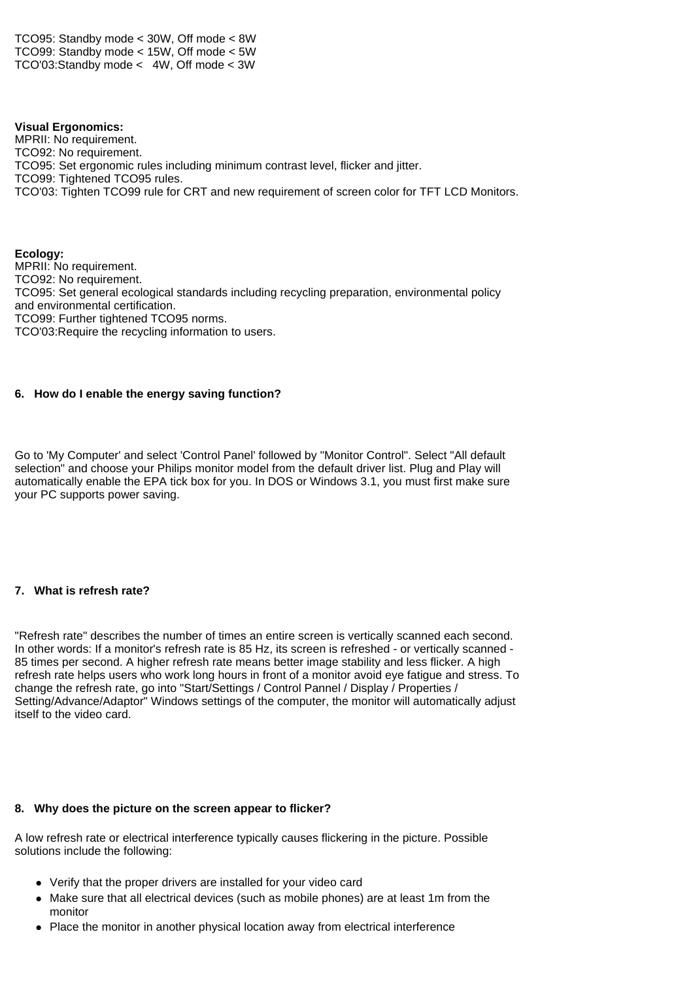TCO95: Standby mode < 30W, Off mode < 8W TCO99: Standby mode < 15W, Off mode < 5W TCO'03:Standby mode < 4W, Off mode < 3W

#### **Visual Ergonomics:**

MPRII: No requirement. TCO92: No requirement. TCO95: Set ergonomic rules including minimum contrast level, flicker and jitter. TCO99: Tightened TCO95 rules. TCO'03: Tighten TCO99 rule for CRT and new requirement of screen color for TFT LCD Monitors.

**Ecology:** MPRII: No requirement. TCO92: No requirement. TCO95: Set general ecological standards including recycling preparation, environmental policy and environmental certification. TCO99: Further tightened TCO95 norms. TCO'03:Require the recycling information to users.

#### **6. How do I enable the energy saving function?**

Go to 'My Computer' and select 'Control Panel' followed by "Monitor Control". Select "All default selection" and choose your Philips monitor model from the default driver list. Plug and Play will automatically enable the EPA tick box for you. In DOS or Windows 3.1, you must first make sure your PC supports power saving.

#### **7. What is refresh rate?**

"Refresh rate" describes the number of times an entire screen is vertically scanned each second. In other words: If a monitor's refresh rate is 85 Hz, its screen is refreshed - or vertically scanned - 85 times per second. A higher refresh rate means better image stability and less flicker. A high refresh rate helps users who work long hours in front of a monitor avoid eye fatigue and stress. To change the refresh rate, go into "Start/Settings / Control Pannel / Display / Properties / Setting/Advance/Adaptor" Windows settings of the computer, the monitor will automatically adjust itself to the video card.

#### **8. Why does the picture on the screen appear to flicker?**

A low refresh rate or electrical interference typically causes flickering in the picture. Possible solutions include the following:

- Verify that the proper drivers are installed for your video card
- Make sure that all electrical devices (such as mobile phones) are at least 1m from the monitor
- Place the monitor in another physical location away from electrical interference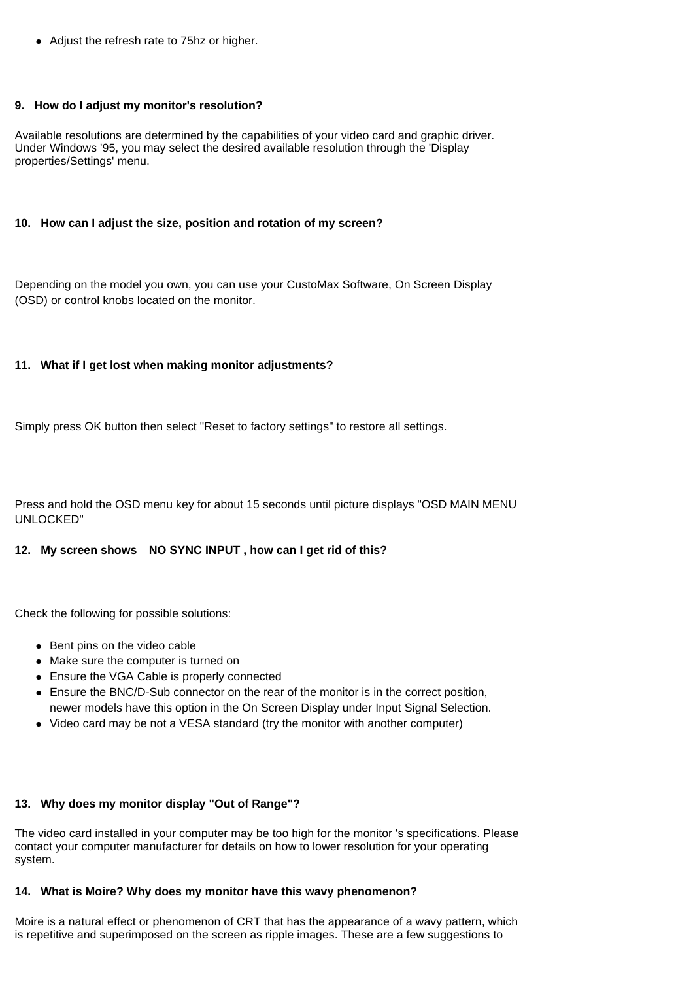• Adjust the refresh rate to 75hz or higher.

#### **9. How do I adjust my monitor's resolution?**

Available resolutions are determined by the capabilities of your video card and graphic driver. Under Windows '95, you may select the desired available resolution through the 'Display properties/Settings' menu.

#### **10. How can I adjust the size, position and rotation of my screen?**

Depending on the model you own, you can use your CustoMax Software, On Screen Display (OSD) or control knobs located on the monitor.

#### **11. What if I get lost when making monitor adjustments?**

Simply press OK button then select "Reset to factory settings" to restore all settings.

Press and hold the OSD menu key for about 15 seconds until picture displays "OSD MAIN MENU UNLOCKED"

#### **12. My screen shows NO SYNC INPUT , how can I get rid of this?**

Check the following for possible solutions:

- $\bullet$  Bent pins on the video cable
- Make sure the computer is turned on
- Ensure the VGA Cable is properly connected
- Ensure the BNC/D-Sub connector on the rear of the monitor is in the correct position, newer models have this option in the On Screen Display under Input Signal Selection.
- Video card may be not a VESA standard (try the monitor with another computer)

#### **13. Why does my monitor display "Out of Range"?**

The video card installed in your computer may be too high for the monitor 's specifications. Please contact your computer manufacturer for details on how to lower resolution for your operating system.

#### **14. What is Moire? Why does my monitor have this wavy phenomenon?**

Moire is a natural effect or phenomenon of CRT that has the appearance of a wavy pattern, which is repetitive and superimposed on the screen as ripple images. These are a few suggestions to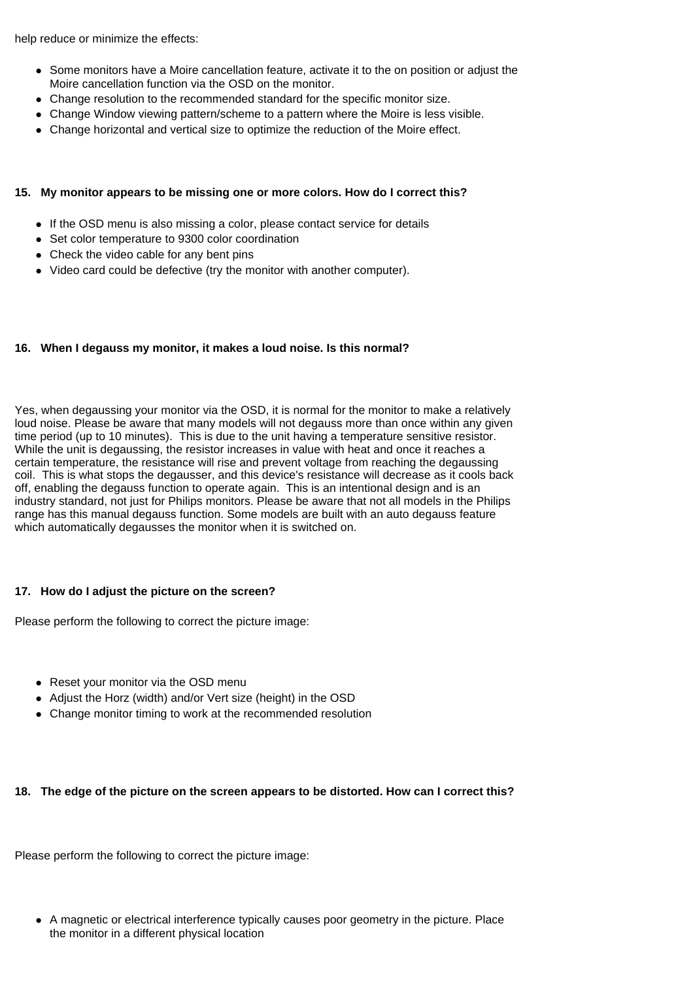help reduce or minimize the effects:

- Some monitors have a Moire cancellation feature, activate it to the on position or adjust the Moire cancellation function via the OSD on the monitor.
- Change resolution to the recommended standard for the specific monitor size.
- $\bullet$  Change Window viewing pattern/scheme to a pattern where the Moire is less visible.
- Change horizontal and vertical size to optimize the reduction of the Moire effect.

#### **15. My monitor appears to be missing one or more colors. How do I correct this?**

- If the OSD menu is also missing a color, please contact service for details
- Set color temperature to 9300 color coordination
- Check the video cable for any bent pins
- Video card could be defective (try the monitor with another computer).

#### **16. When I degauss my monitor, it makes a loud noise. Is this normal?**

Yes, when degaussing your monitor via the OSD, it is normal for the monitor to make a relatively loud noise. Please be aware that many models will not degauss more than once within any given time period (up to 10 minutes). This is due to the unit having a temperature sensitive resistor. While the unit is degaussing, the resistor increases in value with heat and once it reaches a certain temperature, the resistance will rise and prevent voltage from reaching the degaussing coil. This is what stops the degausser, and this device's resistance will decrease as it cools back off, enabling the degauss function to operate again. This is an intentional design and is an industry standard, not just for Philips monitors. Please be aware that not all models in the Philips range has this manual degauss function. Some models are built with an auto degauss feature which automatically degausses the monitor when it is switched on.

#### **17. How do I adjust the picture on the screen?**

Please perform the following to correct the picture image:

- Reset your monitor via the OSD menu
- Adjust the Horz (width) and/or Vert size (height) in the OSD
- Change monitor timing to work at the recommended resolution

#### **18. The edge of the picture on the screen appears to be distorted. How can I correct this?**

Please perform the following to correct the picture image:

A magnetic or electrical interference typically causes poor geometry in the picture. Place the monitor in a different physical location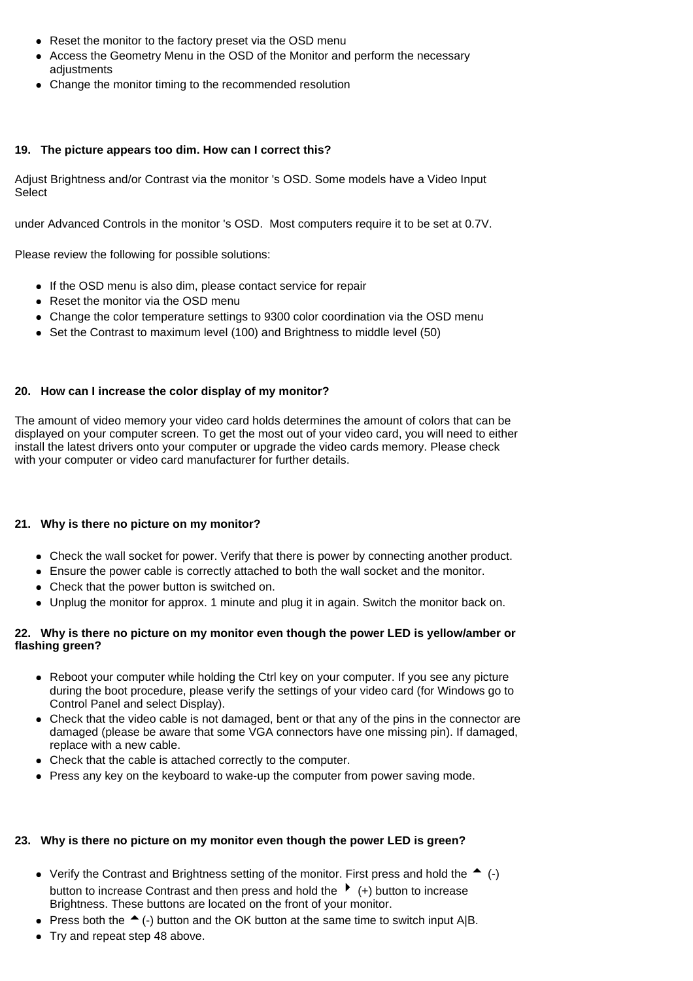- Reset the monitor to the factory preset via the OSD menu
- Access the Geometry Menu in the OSD of the Monitor and perform the necessary adiustments
- Change the monitor timing to the recommended resolution

#### **19. The picture appears too dim. How can I correct this?**

Adjust Brightness and/or Contrast via the monitor 's OSD. Some models have a Video Input Select

under Advanced Controls in the monitor 's OSD. Most computers require it to be set at 0.7V.

Please review the following for possible solutions:

- If the OSD menu is also dim, please contact service for repair
- Reset the monitor via the OSD menu
- Change the color temperature settings to 9300 color coordination via the OSD menu
- Set the Contrast to maximum level (100) and Brightness to middle level (50)

#### **20. How can I increase the color display of my monitor?**

The amount of video memory your video card holds determines the amount of colors that can be displayed on your computer screen. To get the most out of your video card, you will need to either install the latest drivers onto your computer or upgrade the video cards memory. Please check with your computer or video card manufacturer for further details.

#### **21. Why is there no picture on my monitor?**

- Check the wall socket for power. Verify that there is power by connecting another product.
- Ensure the power cable is correctly attached to both the wall socket and the monitor.
- Check that the power button is switched on.
- Unplug the monitor for approx. 1 minute and plug it in again. Switch the monitor back on.

#### **22. Why is there no picture on my monitor even though the power LED is yellow/amber or flashing green?**

- Reboot your computer while holding the Ctrl key on your computer. If you see any picture during the boot procedure, please verify the settings of your video card (for Windows go to Control Panel and select Display).
- Check that the video cable is not damaged, bent or that any of the pins in the connector are damaged (please be aware that some VGA connectors have one missing pin). If damaged, replace with a new cable.
- Check that the cable is attached correctly to the computer.
- Press any key on the keyboard to wake-up the computer from power saving mode.

#### **23. Why is there no picture on my monitor even though the power LED is green?**

- Verify the Contrast and Brightness setting of the monitor. First press and hold the  $\triangle$  (-) button to increase Contrast and then press and hold the  $\rightarrow$  (+) button to increase Brightness. These buttons are located on the front of your monitor.
- Press both the  $\triangle$  (-) button and the OK button at the same time to switch input A|B.
- $\bullet$  Try and repeat step 48 above.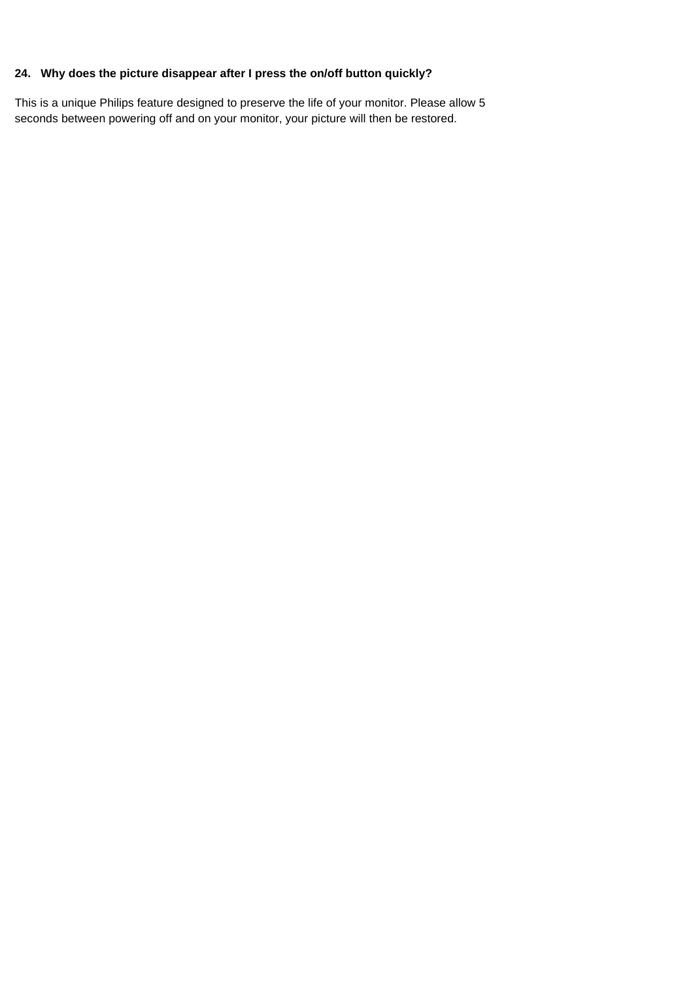#### **24. Why does the picture disappear after I press the on/off button quickly?**

This is a unique Philips feature designed to preserve the life of your monitor. Please allow 5 seconds between powering off and on your monitor, your picture will then be restored.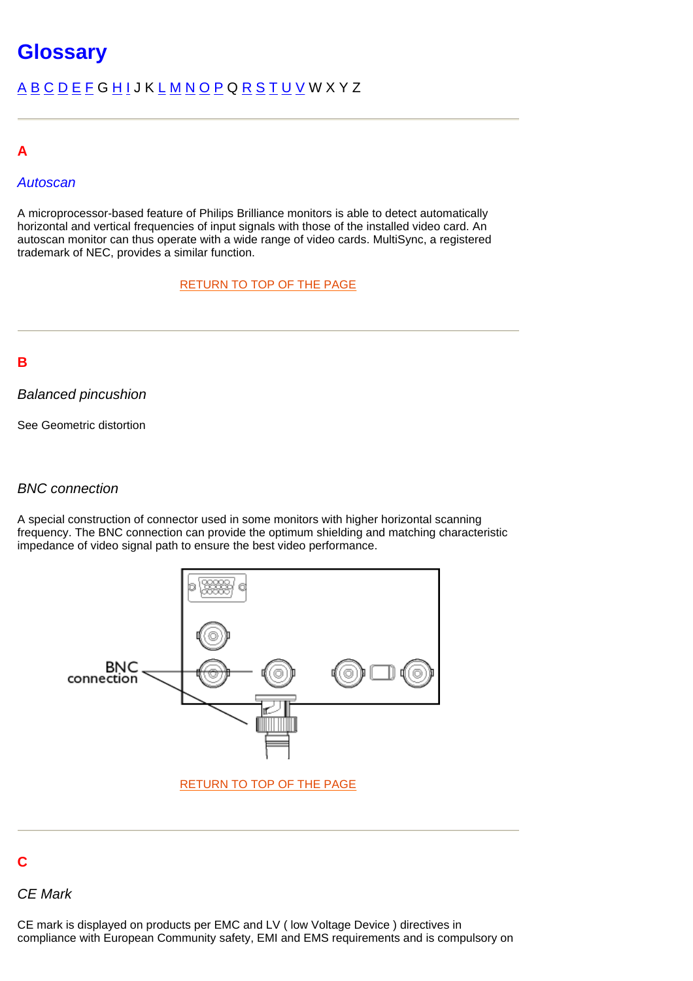# <span id="page-40-6"></span><span id="page-40-5"></span><span id="page-40-1"></span><span id="page-40-0"></span>**Glossary**

# [A](#page-40-1) [B](#page-40-2) [C](#page-40-3) [D](#page-40-4) [E](#page-42-0) [F](#page-44-0) G [H](#page-44-1) [I](#page-45-0) J K [L](#page-45-1) [M](#page-46-0) [N](#page-47-0) [O](#page-47-0) [P](#page-47-1) Q [R](#page-48-0) [S](#page-49-0) [T](#page-52-0) [U](#page-52-1) [V](#page-52-2) W X Y Z

# **A**

## *Autoscan*

A microprocessor-based feature of Philips Brilliance monitors is able to detect automatically horizontal and vertical frequencies of input signals with those of the installed video card. An autoscan monitor can thus operate with a wide range of video cards. MultiSync, a registered trademark of NEC, provides a similar function.

# [RETURN TO TOP OF THE PAGE](#page-40-1)

# <span id="page-40-2"></span>**B**

## *Balanced pincushion*

See Geometric distortion

### *BNC connection*

A special construction of connector used in some monitors with higher horizontal scanning frequency. The BNC connection can provide the optimum shielding and matching characteristic impedance of video signal path to ensure the best video performance.



# <span id="page-40-3"></span>**C**

## *CE Mark*

<span id="page-40-4"></span>CE mark is displayed on products per EMC and LV ( low Voltage Device ) directives in compliance with European Community safety, EMI and EMS requirements and is compulsory on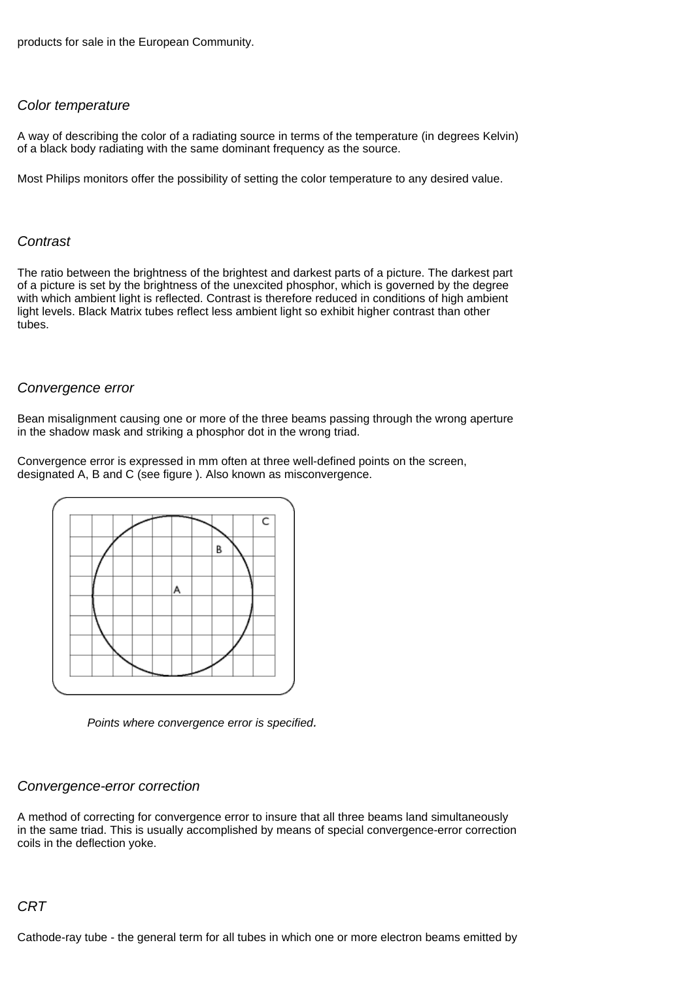products for sale in the European Community.

#### *Color temperature*

A way of describing the color of a radiating source in terms of the temperature (in degrees Kelvin) of a black body radiating with the same dominant frequency as the source.

Most Philips monitors offer the possibility of setting the color temperature to any desired value.

#### *Contrast*

The ratio between the brightness of the brightest and darkest parts of a picture. The darkest part of a picture is set by the brightness of the unexcited phosphor, which is governed by the degree with which ambient light is reflected. Contrast is therefore reduced in conditions of high ambient light levels. Black Matrix tubes reflect less ambient light so exhibit higher contrast than other tubes.

#### *Convergence error*

Bean misalignment causing one or more of the three beams passing through the wrong aperture in the shadow mask and striking a phosphor dot in the wrong triad.

Convergence error is expressed in mm often at three well-defined points on the screen, designated A, B and C (see figure ). Also known as misconvergence.



*Points where convergence error is specified.*

#### *Convergence-error correction*

A method of correcting for convergence error to insure that all three beams land simultaneously in the same triad. This is usually accomplished by means of special convergence-error correction coils in the deflection yoke.

### *CRT*

Cathode-ray tube - the general term for all tubes in which one or more electron beams emitted by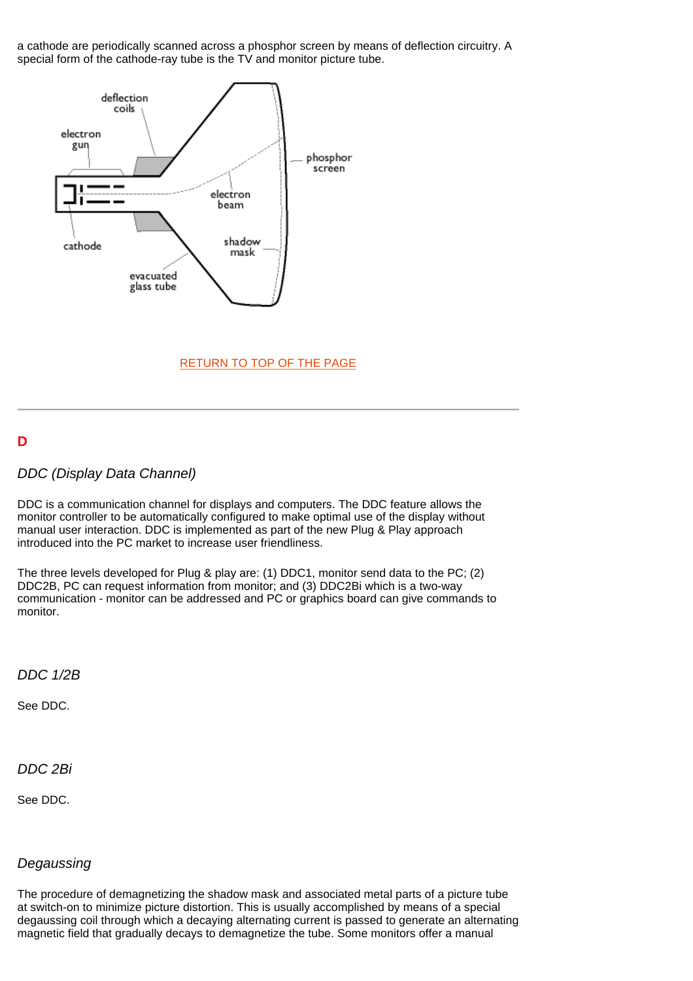a cathode are periodically scanned across a phosphor screen by means of deflection circuitry. A special form of the cathode-ray tube is the TV and monitor picture tube.



### [RETURN TO TOP OF THE PAGE](#page-40-6)

## **D**

### *DDC (Display Data Channel)*

DDC is a communication channel for displays and computers. The DDC feature allows the monitor controller to be automatically configured to make optimal use of the display without manual user interaction. DDC is implemented as part of the new Plug & Play approach introduced into the PC market to increase user friendliness.

The three levels developed for Plug & play are: (1) DDC1, monitor send data to the PC; (2) DDC2B, PC can request information from monitor; and (3) DDC2Bi which is a two-way communication - monitor can be addressed and PC or graphics board can give commands to monitor.

*DDC 1/2B*

See DDC.

#### *DDC 2Bi*

See DDC.

#### *Degaussing*

<span id="page-42-0"></span>The procedure of demagnetizing the shadow mask and associated metal parts of a picture tube at switch-on to minimize picture distortion. This is usually accomplished by means of a special degaussing coil through which a decaying alternating current is passed to generate an alternating magnetic field that gradually decays to demagnetize the tube. Some monitors offer a manual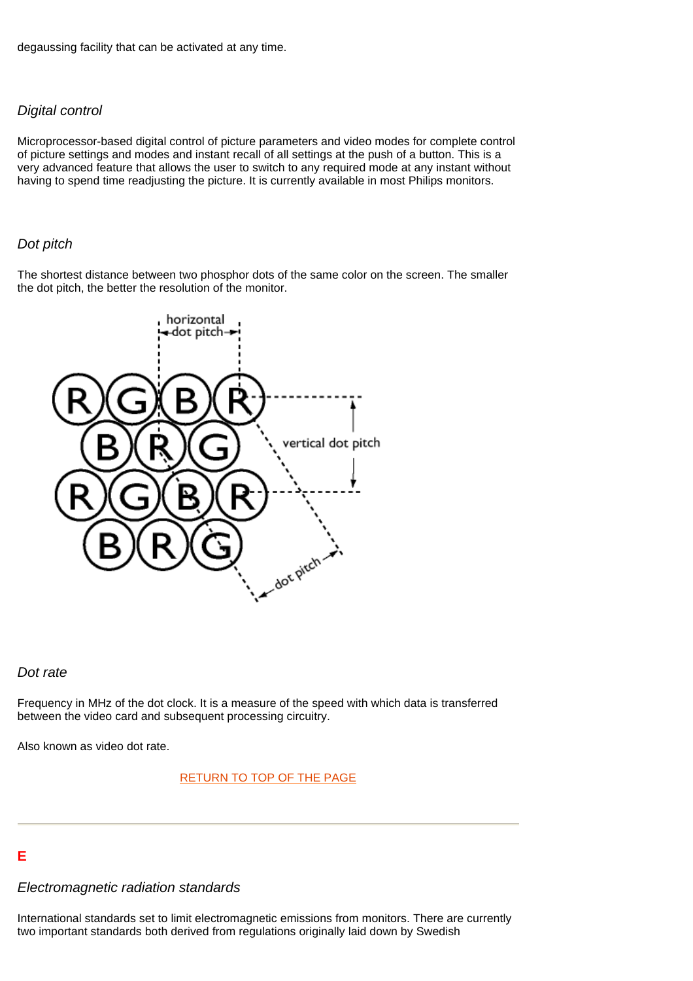degaussing facility that can be activated at any time.

#### *Digital control*

Microprocessor-based digital control of picture parameters and video modes for complete control of picture settings and modes and instant recall of all settings at the push of a button. This is a very advanced feature that allows the user to switch to any required mode at any instant without having to spend time readjusting the picture. It is currently available in most Philips monitors.

#### *Dot pitch*

The shortest distance between two phosphor dots of the same color on the screen. The smaller the dot pitch, the better the resolution of the monitor.



#### *Dot rate*

Frequency in MHz of the dot clock. It is a measure of the speed with which data is transferred between the video card and subsequent processing circuitry.

Also known as video dot rate.

#### [RETURN TO TOP OF THE PAGE](#page-40-6)

# **E**

#### *Electromagnetic radiation standards*

International standards set to limit electromagnetic emissions from monitors. There are currently two important standards both derived from regulations originally laid down by Swedish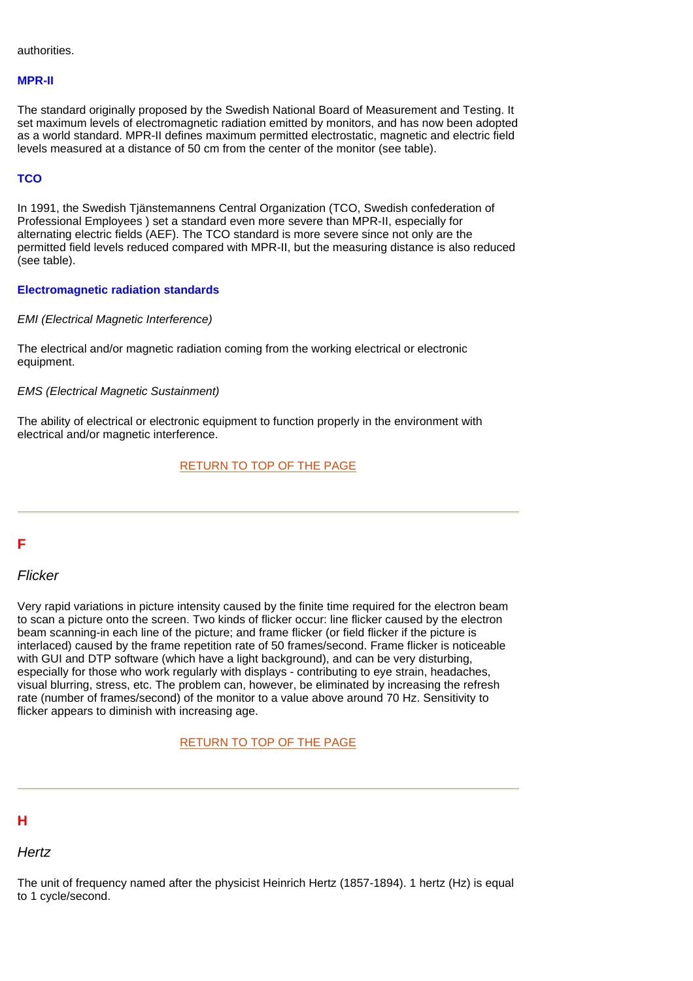authorities.

#### **MPR-II**

The standard originally proposed by the Swedish National Board of Measurement and Testing. It set maximum levels of electromagnetic radiation emitted by monitors, and has now been adopted as a world standard. MPR-II defines maximum permitted electrostatic, magnetic and electric field levels measured at a distance of 50 cm from the center of the monitor (see table).

#### **TCO**

In 1991, the Swedish Tjänstemannens Central Organization (TCO, Swedish confederation of Professional Employees ) set a standard even more severe than MPR-II, especially for alternating electric fields (AEF). The TCO standard is more severe since not only are the permitted field levels reduced compared with MPR-II, but the measuring distance is also reduced (see table).

#### **Electromagnetic radiation standards**

*EMI (Electrical Magnetic Interference)*

The electrical and/or magnetic radiation coming from the working electrical or electronic equipment.

#### *EMS (Electrical Magnetic Sustainment)*

The ability of electrical or electronic equipment to function properly in the environment with electrical and/or magnetic interference.

## [RETURN TO TOP OF THE PAGE](#page-40-6)

# <span id="page-44-0"></span>**F**

#### *Flicker*

Very rapid variations in picture intensity caused by the finite time required for the electron beam to scan a picture onto the screen. Two kinds of flicker occur: line flicker caused by the electron beam scanning-in each line of the picture; and frame flicker (or field flicker if the picture is interlaced) caused by the frame repetition rate of 50 frames/second. Frame flicker is noticeable with GUI and DTP software (which have a light background), and can be very disturbing, especially for those who work regularly with displays - contributing to eye strain, headaches, visual blurring, stress, etc. The problem can, however, be eliminated by increasing the refresh rate (number of frames/second) of the monitor to a value above around 70 Hz. Sensitivity to flicker appears to diminish with increasing age.

### [RETURN TO TOP OF THE PAGE](#page-40-6)

# <span id="page-44-1"></span>**H**

## *Hertz*

The unit of frequency named after the physicist Heinrich Hertz (1857-1894). 1 hertz (Hz) is equal to 1 cycle/second.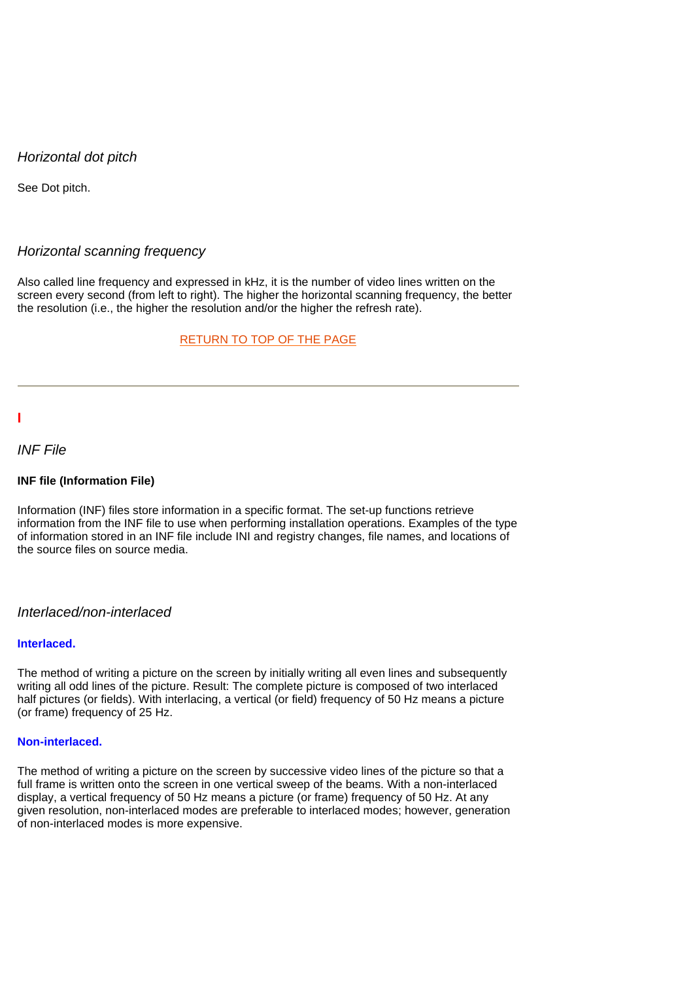## *Horizontal dot pitch*

See Dot pitch.

#### *Horizontal scanning frequency*

Also called line frequency and expressed in kHz, it is the number of video lines written on the screen every second (from left to right). The higher the horizontal scanning frequency, the better the resolution (i.e., the higher the resolution and/or the higher the refresh rate).

#### [RETURN TO TOP OF THE PAGE](#page-40-6)

<span id="page-45-0"></span>**I**

#### *INF File*

#### **INF file (Information File)**

Information (INF) files store information in a specific format. The set-up functions retrieve information from the INF file to use when performing installation operations. Examples of the type of information stored in an INF file include INI and registry changes, file names, and locations of the source files on source media.

#### *Interlaced/non-interlaced*

#### **Interlaced.**

The method of writing a picture on the screen by initially writing all even lines and subsequently writing all odd lines of the picture. Result: The complete picture is composed of two interlaced half pictures (or fields). With interlacing, a vertical (or field) frequency of 50 Hz means a picture (or frame) frequency of 25 Hz.

#### **Non-interlaced.**

<span id="page-45-1"></span>The method of writing a picture on the screen by successive video lines of the picture so that a full frame is written onto the screen in one vertical sweep of the beams. With a non-interlaced display, a vertical frequency of 50 Hz means a picture (or frame) frequency of 50 Hz. At any given resolution, non-interlaced modes are preferable to interlaced modes; however, generation of non-interlaced modes is more expensive.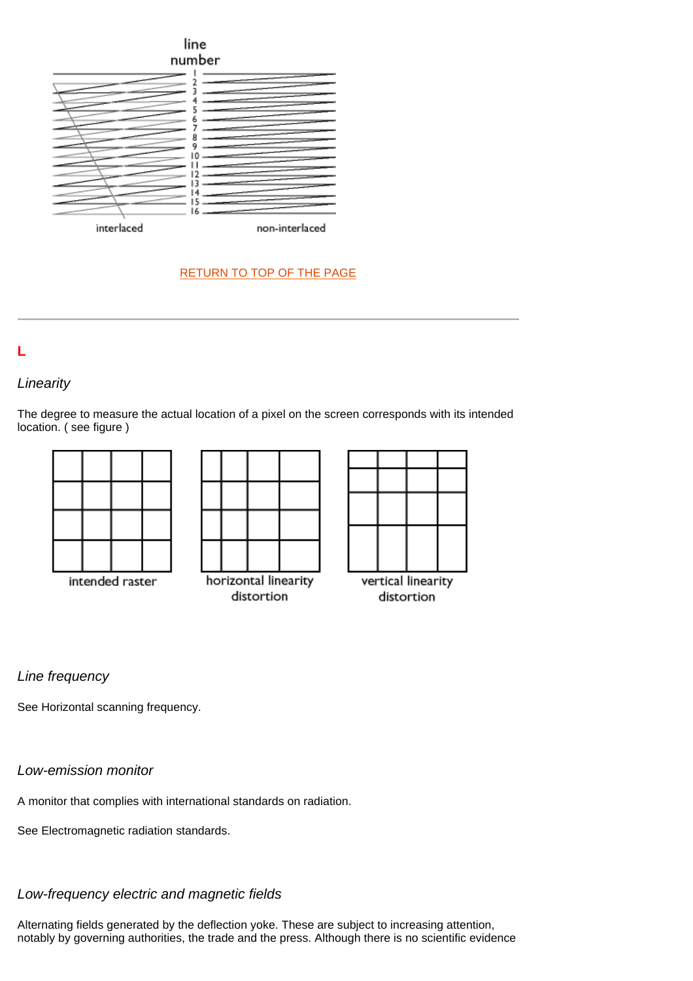

# [RETURN TO TOP OF THE PAGE](#page-40-6)



# *Linearity*

The degree to measure the actual location of a pixel on the screen corresponds with its intended location. ( see figure )



# *Line frequency*

See Horizontal scanning frequency.

# *Low-emission monitor*

A monitor that complies with international standards on radiation.

See Electromagnetic radiation standards.

# *Low-frequency electric and magnetic fields*

<span id="page-46-0"></span>Alternating fields generated by the deflection yoke. These are subject to increasing attention, notably by governing authorities, the trade and the press. Although there is no scientific evidence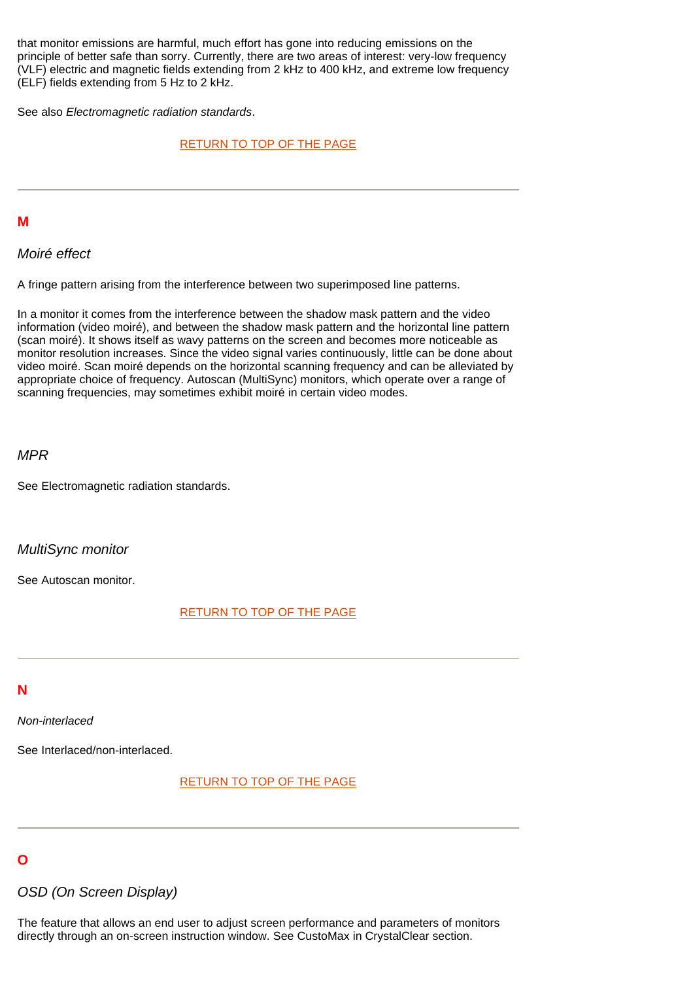that monitor emissions are harmful, much effort has gone into reducing emissions on the principle of better safe than sorry. Currently, there are two areas of interest: very-low frequency (VLF) electric and magnetic fields extending from 2 kHz to 400 kHz, and extreme low frequency (ELF) fields extending from 5 Hz to 2 kHz.

See also *Electromagnetic radiation standards*.

#### [RETURN TO TOP OF THE PAGE](#page-40-6)

#### **M**

*Moiré effect*

A fringe pattern arising from the interference between two superimposed line patterns.

<span id="page-47-0"></span>In a monitor it comes from the interference between the shadow mask pattern and the video information (video moiré), and between the shadow mask pattern and the horizontal line pattern (scan moiré). It shows itself as wavy patterns on the screen and becomes more noticeable as monitor resolution increases. Since the video signal varies continuously, little can be done about video moiré. Scan moiré depends on the horizontal scanning frequency and can be alleviated by appropriate choice of frequency. Autoscan (MultiSync) monitors, which operate over a range of scanning frequencies, may sometimes exhibit moiré in certain video modes.

#### *MPR*

See Electromagnetic radiation standards.

#### *MultiSync monitor*

See Autoscan monitor.

#### [RETURN TO TOP OF THE PAGE](#page-40-6)

#### **N**

*Non-interlaced*

See Interlaced/non-interlaced.

[RETURN TO TOP OF THE PAGE](#page-40-6) 

# **O**

#### *OSD (On Screen Display)*

<span id="page-47-1"></span>The feature that allows an end user to adjust screen performance and parameters of monitors directly through an on-screen instruction window. See CustoMax in CrystalClear section.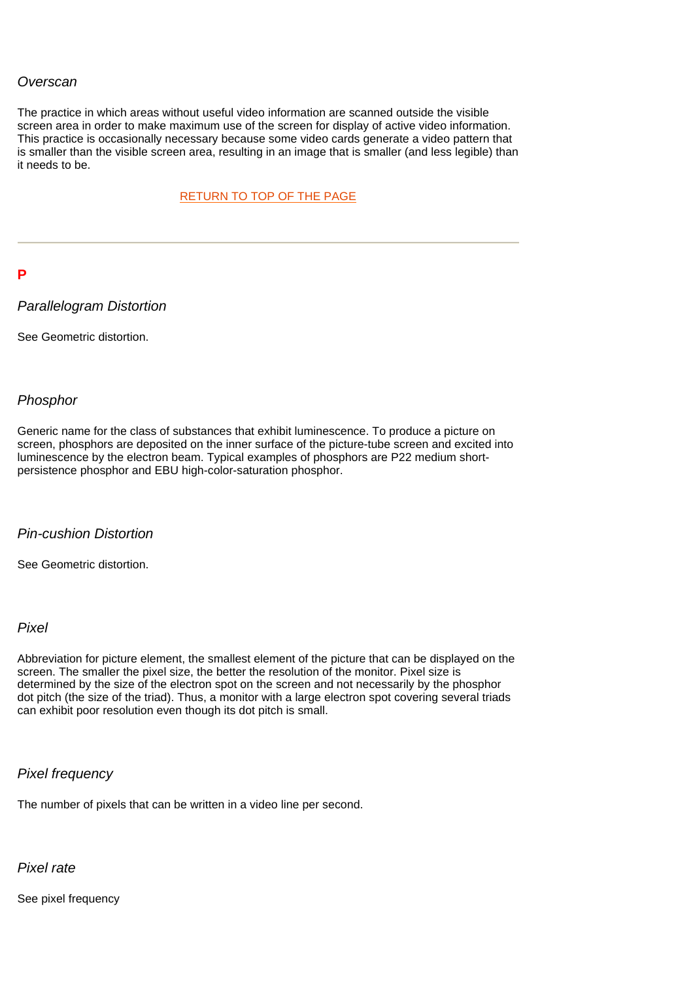#### *Overscan*

The practice in which areas without useful video information are scanned outside the visible screen area in order to make maximum use of the screen for display of active video information. This practice is occasionally necessary because some video cards generate a video pattern that is smaller than the visible screen area, resulting in an image that is smaller (and less legible) than it needs to be.

[RETURN TO TOP OF THE PAGE](#page-40-6) 

#### **P**

#### *Parallelogram Distortion*

See Geometric distortion.

#### *Phosphor*

Generic name for the class of substances that exhibit luminescence. To produce a picture on screen, phosphors are deposited on the inner surface of the picture-tube screen and excited into luminescence by the electron beam. Typical examples of phosphors are P22 medium shortpersistence phosphor and EBU high-color-saturation phosphor.

#### *Pin-cushion Distortion*

See Geometric distortion.

#### *Pixel*

Abbreviation for picture element, the smallest element of the picture that can be displayed on the screen. The smaller the pixel size, the better the resolution of the monitor. Pixel size is determined by the size of the electron spot on the screen and not necessarily by the phosphor dot pitch (the size of the triad). Thus, a monitor with a large electron spot covering several triads can exhibit poor resolution even though its dot pitch is small.

#### *Pixel frequency*

The number of pixels that can be written in a video line per second.

# *Pixel rate*

<span id="page-48-0"></span>See pixel frequency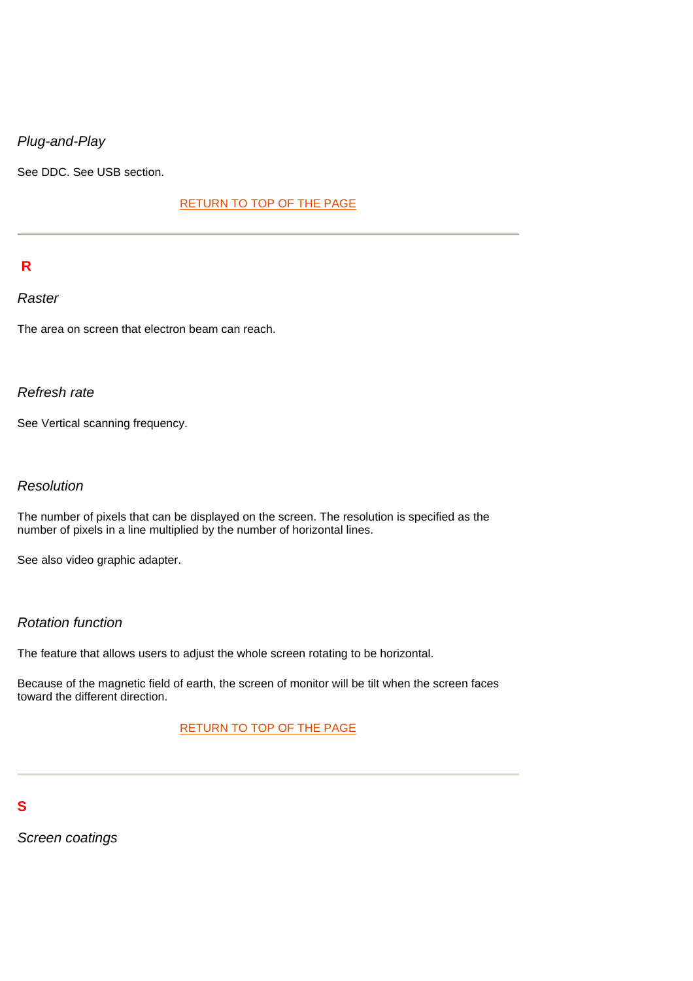# *Plug-and-Play*

See DDC. See USB section.

#### [RETURN TO TOP OF THE PAGE](#page-40-6)

# **R**

#### *Raster*

The area on screen that electron beam can reach.

# *Refresh rate*

See Vertical scanning frequency.

# *Resolution*

The number of pixels that can be displayed on the screen. The resolution is specified as the number of pixels in a line multiplied by the number of horizontal lines.

See also video graphic adapter.

# *Rotation function*

The feature that allows users to adjust the whole screen rotating to be horizontal.

Because of the magnetic field of earth, the screen of monitor will be tilt when the screen faces toward the different direction.

#### [RETURN TO TOP OF THE PAGE](#page-40-6)

# **S**

<span id="page-49-0"></span>*Screen coatings*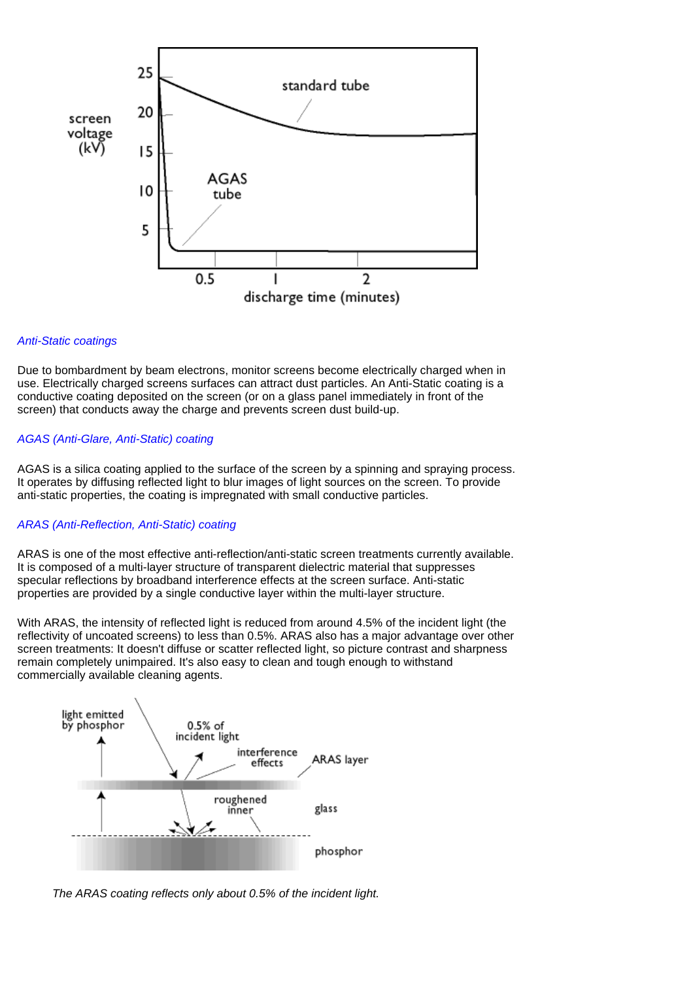

#### *Anti-Static coatings*

Due to bombardment by beam electrons, monitor screens become electrically charged when in use. Electrically charged screens surfaces can attract dust particles. An Anti-Static coating is a conductive coating deposited on the screen (or on a glass panel immediately in front of the screen) that conducts away the charge and prevents screen dust build-up.

#### *AGAS (Anti-Glare, Anti-Static) coating*

AGAS is a silica coating applied to the surface of the screen by a spinning and spraying process. It operates by diffusing reflected light to blur images of light sources on the screen. To provide anti-static properties, the coating is impregnated with small conductive particles.

#### *ARAS (Anti-Reflection, Anti-Static) coating*

ARAS is one of the most effective anti-reflection/anti-static screen treatments currently available. It is composed of a multi-layer structure of transparent dielectric material that suppresses specular reflections by broadband interference effects at the screen surface. Anti-static properties are provided by a single conductive layer within the multi-layer structure.

With ARAS, the intensity of reflected light is reduced from around 4.5% of the incident light (the reflectivity of uncoated screens) to less than 0.5%. ARAS also has a major advantage over other screen treatments: It doesn't diffuse or scatter reflected light, so picture contrast and sharpness remain completely unimpaired. It's also easy to clean and tough enough to withstand commercially available cleaning agents.



*The ARAS coating reflects only about 0.5% of the incident light.*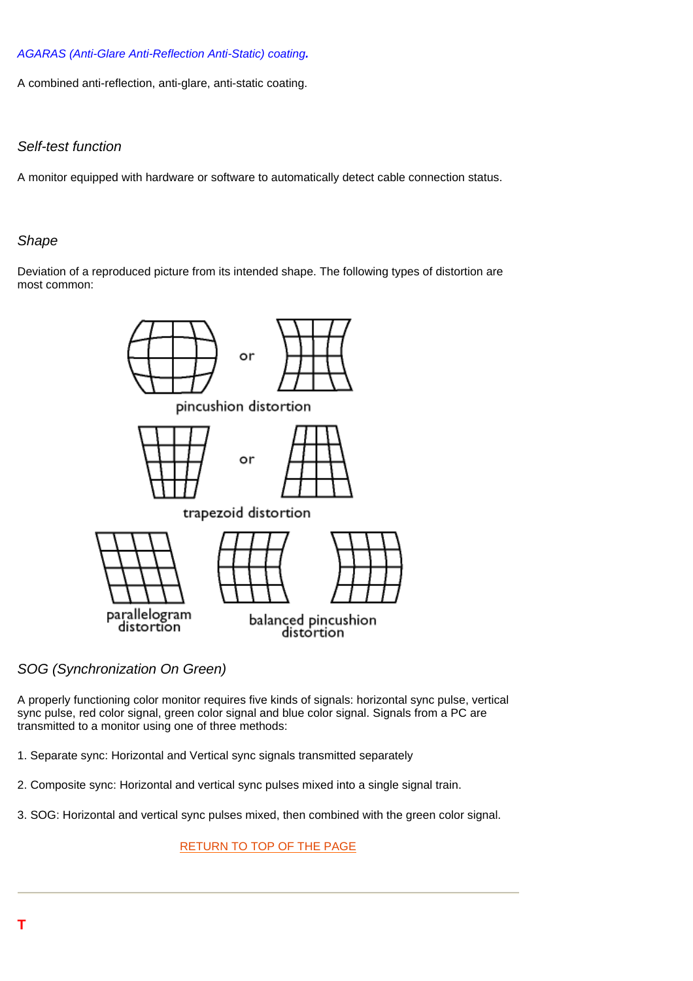#### *AGARAS (Anti-Glare Anti-Reflection Anti-Static) coating.*

A combined anti-reflection, anti-glare, anti-static coating.

## *Self-test function*

A monitor equipped with hardware or software to automatically detect cable connection status.

#### *Shape*

Deviation of a reproduced picture from its intended shape. The following types of distortion are most common:



*SOG (Synchronization On Green)*

A properly functioning color monitor requires five kinds of signals: horizontal sync pulse, vertical sync pulse, red color signal, green color signal and blue color signal. Signals from a PC are transmitted to a monitor using one of three methods:

- 1. Separate sync: Horizontal and Vertical sync signals transmitted separately
- 2. Composite sync: Horizontal and vertical sync pulses mixed into a single signal train.
- 3. SOG: Horizontal and vertical sync pulses mixed, then combined with the green color signal.

[RETURN TO TOP OF THE PAGE](#page-40-6)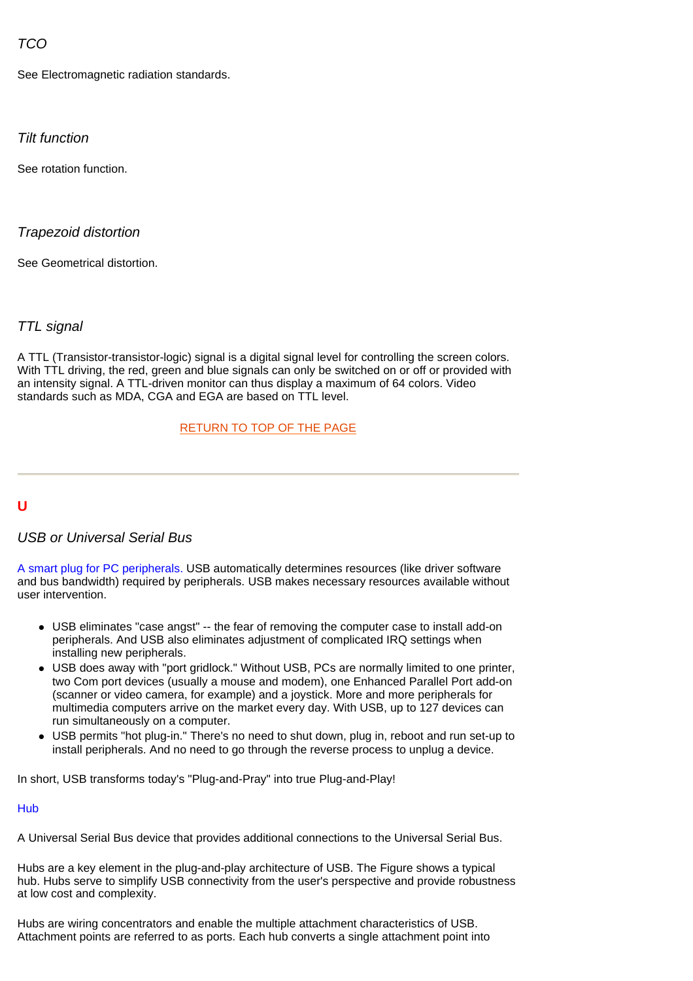# <span id="page-52-0"></span>*TCO*

See Electromagnetic radiation standards.

### *Tilt function*

See rotation function.

### *Trapezoid distortion*

<span id="page-52-1"></span>See Geometrical distortion.

### *TTL signal*

A TTL (Transistor-transistor-logic) signal is a digital signal level for controlling the screen colors. With TTL driving, the red, green and blue signals can only be switched on or off or provided with an intensity signal. A TTL-driven monitor can thus display a maximum of 64 colors. Video standards such as MDA, CGA and EGA are based on TTL level.

#### [RETURN TO TOP OF THE PAGE](#page-40-6)

### **U**

# *USB or Universal Serial Bus*

A smart plug for PC peripherals. USB automatically determines resources (like driver software and bus bandwidth) required by peripherals. USB makes necessary resources available without user intervention.

- USB eliminates "case angst" -- the fear of removing the computer case to install add-on peripherals. And USB also eliminates adjustment of complicated IRQ settings when installing new peripherals.
- USB does away with "port gridlock." Without USB, PCs are normally limited to one printer, two Com port devices (usually a mouse and modem), one Enhanced Parallel Port add-on (scanner or video camera, for example) and a joystick. More and more peripherals for multimedia computers arrive on the market every day. With USB, up to 127 devices can run simultaneously on a computer.
- USB permits "hot plug-in." There's no need to shut down, plug in, reboot and run set-up to install peripherals. And no need to go through the reverse process to unplug a device.

In short, USB transforms today's "Plug-and-Pray" into true Plug-and-Play!

#### Hub

A Universal Serial Bus device that provides additional connections to the Universal Serial Bus.

Hubs are a key element in the plug-and-play architecture of USB. The Figure shows a typical hub. Hubs serve to simplify USB connectivity from the user's perspective and provide robustness at low cost and complexity.

<span id="page-52-2"></span>Hubs are wiring concentrators and enable the multiple attachment characteristics of USB. Attachment points are referred to as ports. Each hub converts a single attachment point into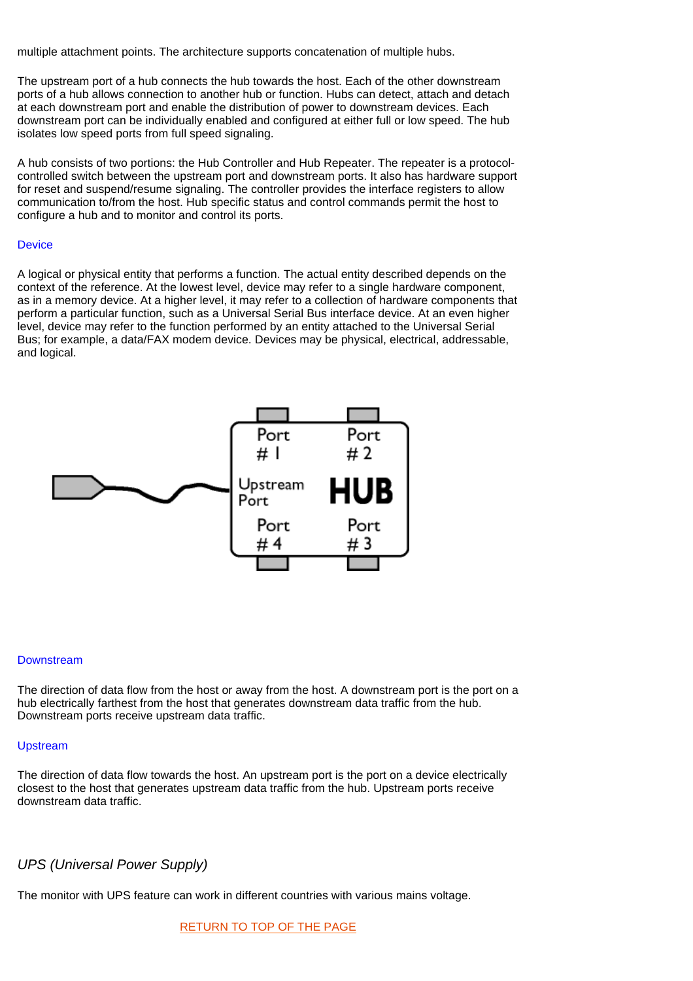multiple attachment points. The architecture supports concatenation of multiple hubs.

The upstream port of a hub connects the hub towards the host. Each of the other downstream ports of a hub allows connection to another hub or function. Hubs can detect, attach and detach at each downstream port and enable the distribution of power to downstream devices. Each downstream port can be individually enabled and configured at either full or low speed. The hub isolates low speed ports from full speed signaling.

A hub consists of two portions: the Hub Controller and Hub Repeater. The repeater is a protocolcontrolled switch between the upstream port and downstream ports. It also has hardware support for reset and suspend/resume signaling. The controller provides the interface registers to allow communication to/from the host. Hub specific status and control commands permit the host to configure a hub and to monitor and control its ports.

#### **Device**

A logical or physical entity that performs a function. The actual entity described depends on the context of the reference. At the lowest level, device may refer to a single hardware component, as in a memory device. At a higher level, it may refer to a collection of hardware components that perform a particular function, such as a Universal Serial Bus interface device. At an even higher level, device may refer to the function performed by an entity attached to the Universal Serial Bus; for example, a data/FAX modem device. Devices may be physical, electrical, addressable, and logical.



#### **Downstream**

The direction of data flow from the host or away from the host. A downstream port is the port on a hub electrically farthest from the host that generates downstream data traffic from the hub. Downstream ports receive upstream data traffic.

#### Upstream

The direction of data flow towards the host. An upstream port is the port on a device electrically closest to the host that generates upstream data traffic from the hub. Upstream ports receive downstream data traffic.

### *UPS (Universal Power Supply)*

The monitor with UPS feature can work in different countries with various mains voltage.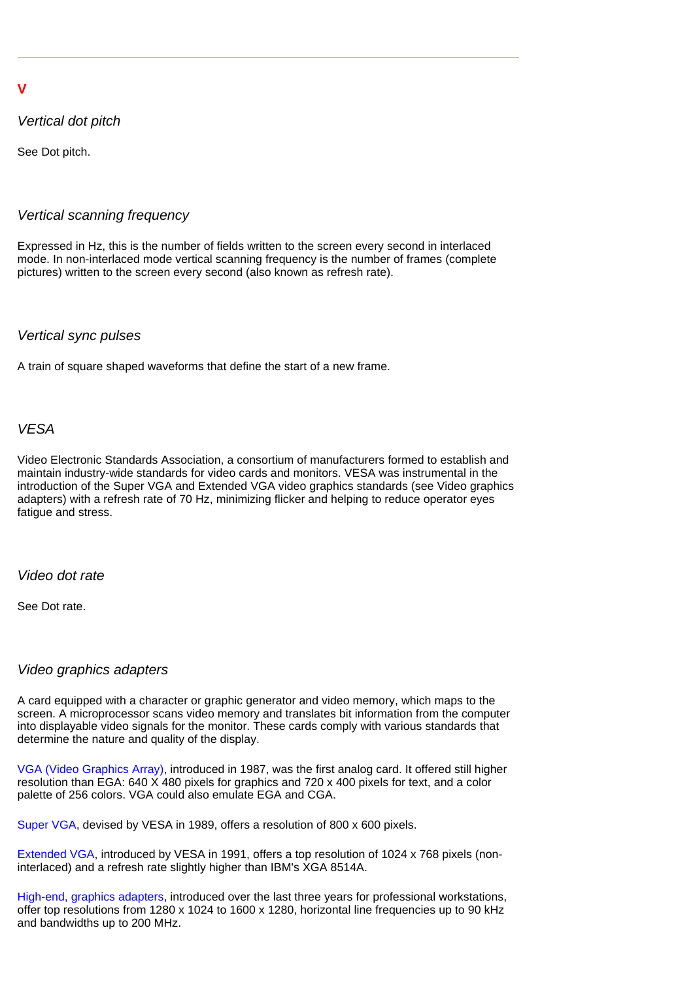# **V**

# *Vertical dot pitch*

See Dot pitch.

# *Vertical scanning frequency*

Expressed in Hz, this is the number of fields written to the screen every second in interlaced mode. In non-interlaced mode vertical scanning frequency is the number of frames (complete pictures) written to the screen every second (also known as refresh rate).

# *Vertical sync pulses*

A train of square shaped waveforms that define the start of a new frame.

# *VESA*

Video Electronic Standards Association, a consortium of manufacturers formed to establish and maintain industry-wide standards for video cards and monitors. VESA was instrumental in the introduction of the Super VGA and Extended VGA video graphics standards (see Video graphics adapters) with a refresh rate of 70 Hz, minimizing flicker and helping to reduce operator eyes fatigue and stress.

# *Video dot rate*

See Dot rate.

### *Video graphics adapters*

A card equipped with a character or graphic generator and video memory, which maps to the screen. A microprocessor scans video memory and translates bit information from the computer into displayable video signals for the monitor. These cards comply with various standards that determine the nature and quality of the display.

VGA (Video Graphics Array), introduced in 1987, was the first analog card. It offered still higher resolution than EGA: 640 X 480 pixels for graphics and 720 x 400 pixels for text, and a color palette of 256 colors. VGA could also emulate EGA and CGA.

Super VGA, devised by VESA in 1989, offers a resolution of 800 x 600 pixels.

Extended VGA, introduced by VESA in 1991, offers a top resolution of 1024 x 768 pixels (noninterlaced) and a refresh rate slightly higher than IBM's XGA 8514A.

High-end, graphics adapters, introduced over the last three years for professional workstations, offer top resolutions from 1280 x 1024 to 1600 x 1280, horizontal line frequencies up to 90 kHz and bandwidths up to 200 MHz.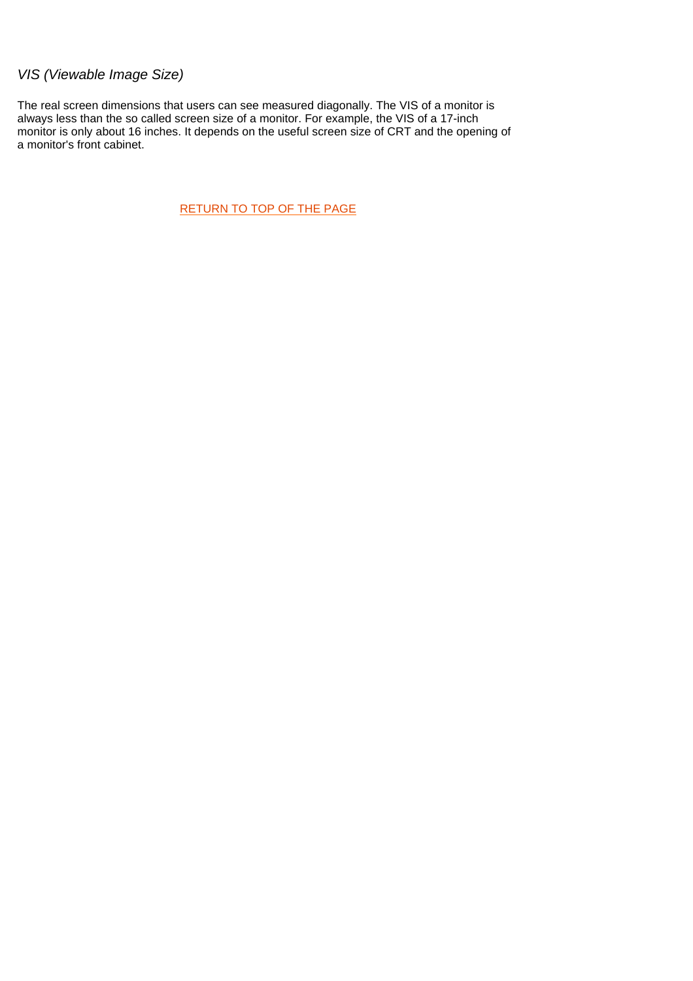# *VIS (Viewable Image Size)*

The real screen dimensions that users can see measured diagonally. The VIS of a monitor is always less than the so called screen size of a monitor. For example, the VIS of a 17-inch monitor is only about 16 inches. It depends on the useful screen size of CRT and the opening of a monitor's front cabinet.

[RETURN TO TOP OF THE PAGE](#page-40-6)